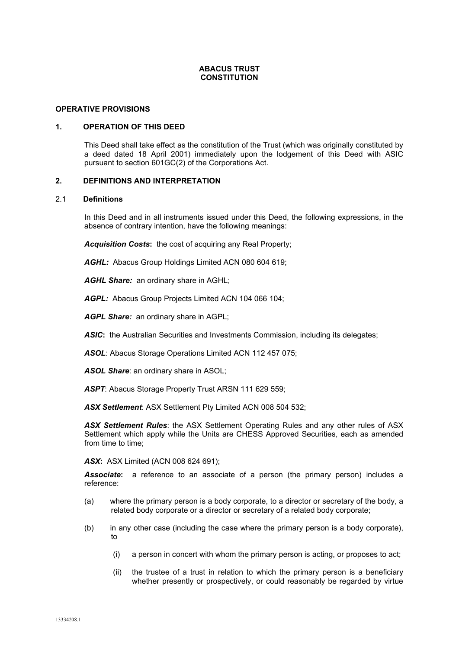#### **ABACUS TRUST CONSTITUTION**

#### **OPERATIVE PROVISIONS**

#### <span id="page-0-0"></span>**1. OPERATION OF THIS DEED**

This Deed shall take effect as the constitution of the Trust (which was originally constituted by a deed dated 18 April 2001) immediately upon the lodgement of this Deed with ASIC pursuant to section 601GC(2) of the Corporations Act.

#### **2. DEFINITIONS AND INTERPRETATION**

# 2.1 **Definitions**

In this Deed and in all instruments issued under this Deed, the following expressions, in the absence of contrary intention, have the following meanings:

*Acquisition Costs***:** the cost of acquiring any Real Property;

*AGHL:* Abacus Group Holdings Limited ACN 080 604 619;

*AGHL Share:* an ordinary share in AGHL;

*AGPL:* Abacus Group Projects Limited ACN 104 066 104;

*AGPL Share:* an ordinary share in AGPL;

ASIC: the Australian Securities and Investments Commission, including its delegates;

*ASOL*: Abacus Storage Operations Limited ACN 112 457 075;

*ASOL Share*: an ordinary share in ASOL;

*ASPT*: Abacus Storage Property Trust ARSN 111 629 559;

*ASX Settlement*: ASX Settlement Pty Limited ACN 008 504 532;

*ASX Settlement Rules*: the ASX Settlement Operating Rules and any other rules of ASX Settlement which apply while the Units are CHESS Approved Securities, each as amended from time to time;

*ASX***:** ASX Limited (ACN 008 624 691);

*Associate***:** a reference to an associate of a person (the primary person) includes a reference:

- (a) where the primary person is a body corporate, to a director or secretary of the body, a related body corporate or a director or secretary of a related body corporate;
- (b) in any other case (including the case where the primary person is a body corporate), to
	- (i) a person in concert with whom the primary person is acting, or proposes to act;
	- (ii) the trustee of a trust in relation to which the primary person is a beneficiary whether presently or prospectively, or could reasonably be regarded by virtue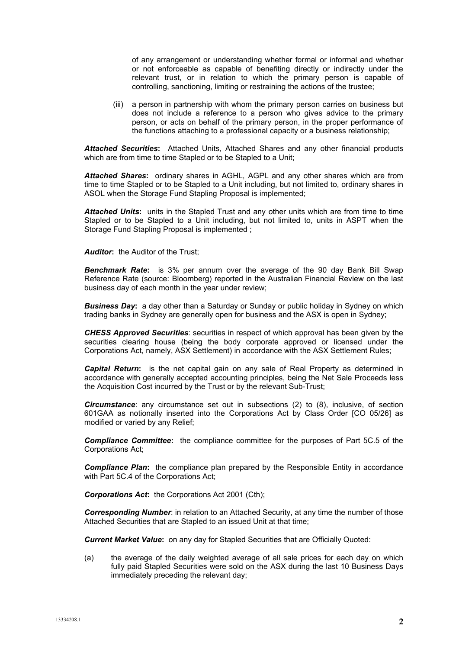of any arrangement or understanding whether formal or informal and whether or not enforceable as capable of benefiting directly or indirectly under the relevant trust, or in relation to which the primary person is capable of controlling, sanctioning, limiting or restraining the actions of the trustee;

(iii) a person in partnership with whom the primary person carries on business but does not include a reference to a person who gives advice to the primary person, or acts on behalf of the primary person, in the proper performance of the functions attaching to a professional capacity or a business relationship;

*Attached Securities***:** Attached Units, Attached Shares and any other financial products which are from time to time Stapled or to be Stapled to a Unit;

*Attached Shares***:** ordinary shares in AGHL, AGPL and any other shares which are from time to time Stapled or to be Stapled to a Unit including, but not limited to, ordinary shares in ASOL when the Storage Fund Stapling Proposal is implemented;

*Attached Units***:** units in the Stapled Trust and any other units which are from time to time Stapled or to be Stapled to a Unit including, but not limited to, units in ASPT when the Storage Fund Stapling Proposal is implemented ;

*Auditor***:** the Auditor of the Trust;

*Benchmark Rate***:** is 3% per annum over the average of the 90 day Bank Bill Swap Reference Rate (source: Bloomberg) reported in the Australian Financial Review on the last business day of each month in the year under review;

**Business Day:** a day other than a Saturday or Sunday or public holiday in Sydney on which trading banks in Sydney are generally open for business and the ASX is open in Sydney;

*CHESS Approved Securities*: securities in respect of which approval has been given by the securities clearing house (being the body corporate approved or licensed under the Corporations Act, namely, ASX Settlement) in accordance with the ASX Settlement Rules;

*Capital Return***:** is the net capital gain on any sale of Real Property as determined in accordance with generally accepted accounting principles, being the Net Sale Proceeds less the Acquisition Cost incurred by the Trust or by the relevant Sub-Trust;

*Circumstance*: any circumstance set out in subsections (2) to (8), inclusive, of section 601GAA as notionally inserted into the Corporations Act by Class Order [CO 05/26] as modified or varied by any Relief;

*Compliance Committee***:** the compliance committee for the purposes of Part 5C.5 of the Corporations Act;

*Compliance Plan***:** the compliance plan prepared by the Responsible Entity in accordance with Part 5C.4 of the Corporations Act;

*Corporations Act***:** the Corporations Act 2001 (Cth);

*Corresponding Number*: in relation to an Attached Security, at any time the number of those Attached Securities that are Stapled to an issued Unit at that time;

*Current Market Value***:** on any day for Stapled Securities that are Officially Quoted:

(a) the average of the daily weighted average of all sale prices for each day on which fully paid Stapled Securities were sold on the ASX during the last 10 Business Days immediately preceding the relevant day;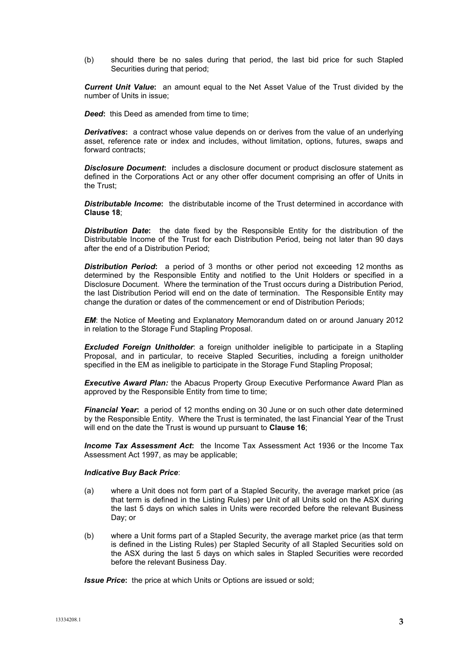(b) should there be no sales during that period, the last bid price for such Stapled Securities during that period;

*Current Unit Value***:** an amount equal to the Net Asset Value of the Trust divided by the number of Units in issue;

*Deed*: this Deed as amended from time to time;

**Derivatives:** a contract whose value depends on or derives from the value of an underlying asset, reference rate or index and includes, without limitation, options, futures, swaps and forward contracts;

*Disclosure Document***:** includes a disclosure document or product disclosure statement as defined in the Corporations Act or any other offer document comprising an offer of Units in the Trust;

**Distributable Income:** the distributable income of the Trust determined in accordance with **Clause [18](#page-23-0)**;

*Distribution Date***:** the date fixed by the Responsible Entity for the distribution of the Distributable Income of the Trust for each Distribution Period, being not later than 90 days after the end of a Distribution Period;

*Distribution Period***:** a period of 3 months or other period not exceeding 12 months as determined by the Responsible Entity and notified to the Unit Holders or specified in a Disclosure Document. Where the termination of the Trust occurs during a Distribution Period, the last Distribution Period will end on the date of termination. The Responsible Entity may change the duration or dates of the commencement or end of Distribution Periods;

*EM*: the Notice of Meeting and Explanatory Memorandum dated on or around January 2012 in relation to the Storage Fund Stapling Proposal.

*Excluded Foreign Unitholder*: a foreign unitholder ineligible to participate in a Stapling Proposal, and in particular, to receive Stapled Securities, including a foreign unitholder specified in the EM as ineligible to participate in the Storage Fund Stapling Proposal;

*Executive Award Plan:* the Abacus Property Group Executive Performance Award Plan as approved by the Responsible Entity from time to time;

*Financial Year***:** a period of 12 months ending on 30 June or on such other date determined by the Responsible Entity. Where the Trust is terminated, the last Financial Year of the Trust will end on the date the Trust is wound up pursuant to **Clause [16](#page-22-0)**;

*Income Tax Assessment Act***:** the Income Tax Assessment Act 1936 or the Income Tax Assessment Act 1997, as may be applicable;

# *Indicative Buy Back Price*:

- (a) where a Unit does not form part of a Stapled Security, the average market price (as that term is defined in the Listing Rules) per Unit of all Units sold on the ASX during the last 5 days on which sales in Units were recorded before the relevant Business Day; or
- (b) where a Unit forms part of a Stapled Security, the average market price (as that term is defined in the Listing Rules) per Stapled Security of all Stapled Securities sold on the ASX during the last 5 days on which sales in Stapled Securities were recorded before the relevant Business Day.

*Issue Price***:** the price at which Units or Options are issued or sold;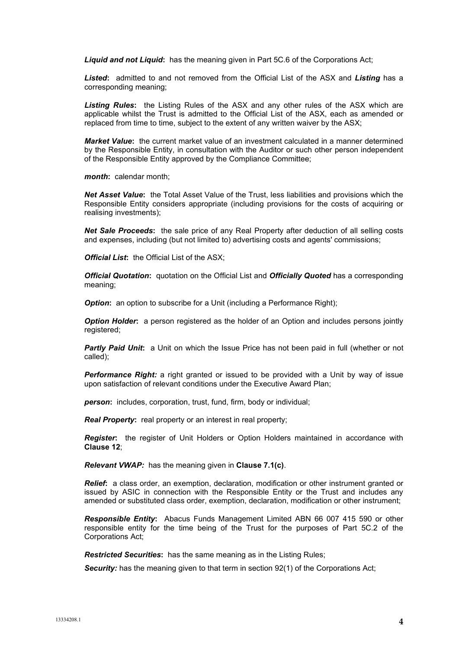*Liquid and not Liquid***:** has the meaning given in Part 5C.6 of the Corporations Act;

*Listed***:** admitted to and not removed from the Official List of the ASX and *Listing* has a corresponding meaning;

*Listing Rules***:** the Listing Rules of the ASX and any other rules of the ASX which are applicable whilst the Trust is admitted to the Official List of the ASX, each as amended or replaced from time to time, subject to the extent of any written waiver by the ASX;

*Market Value***:** the current market value of an investment calculated in a manner determined by the Responsible Entity, in consultation with the Auditor or such other person independent of the Responsible Entity approved by the Compliance Committee;

*month***:** calendar month;

*Net Asset Value***:** the Total Asset Value of the Trust, less liabilities and provisions which the Responsible Entity considers appropriate (including provisions for the costs of acquiring or realising investments);

*Net Sale Proceeds***:** the sale price of any Real Property after deduction of all selling costs and expenses, including (but not limited to) advertising costs and agents' commissions;

*Official List***:** the Official List of the ASX;

*Official Quotation***:** quotation on the Official List and *Officially Quoted* has a corresponding meaning;

**Option:** an option to subscribe for a Unit (including a Performance Right);

**Option Holder:** a person registered as the holder of an Option and includes persons jointly registered;

**Partly Paid Unit:** a Unit on which the Issue Price has not been paid in full (whether or not called);

*Performance Right:* a right granted or issued to be provided with a Unit by way of issue upon satisfaction of relevant conditions under the Executive Award Plan;

**person:** includes, corporation, trust, fund, firm, body or individual;

*Real Property***:** real property or an interest in real property;

*Register***:** the register of Unit Holders or Option Holders maintained in accordance with **Clause [12](#page-20-0)**;

*Relevant VWAP:* has the meaning given in **Clause 7.1(c)**.

*Relief***:** a class order, an exemption, declaration, modification or other instrument granted or issued by ASIC in connection with the Responsible Entity or the Trust and includes any amended or substituted class order, exemption, declaration, modification or other instrument;

*Responsible Entity***:** Abacus Funds Management Limited ABN 66 007 415 590 or other responsible entity for the time being of the Trust for the purposes of Part 5C.2 of the Corporations Act;

*Restricted Securities***:** has the same meaning as in the Listing Rules;

**Security:** has the meaning given to that term in section 92(1) of the Corporations Act;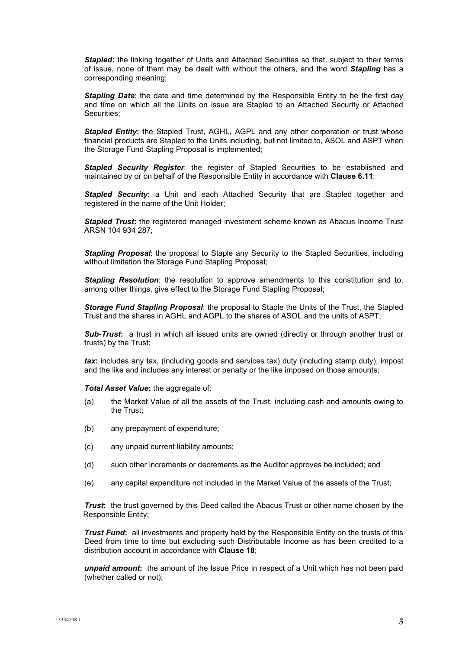*Stapled***:** the linking together of Units and Attached Securities so that, subject to their terms of issue, none of them may be dealt with without the others, and the word *Stapling* has a corresponding meaning;

**Stapling Date:** the date and time determined by the Responsible Entity to be the first day and time on which all the Units on issue are Stapled to an Attached Security or Attached Securities;

**Stapled Entity:** the Stapled Trust, AGHL, AGPL and any other corporation or trust whose financial products are Stapled to the Units including, but not limited to, ASOL and ASPT when the Storage Fund Stapling Proposal is implemented;

*Stapled Security Register*: the register of Stapled Securities to be established and maintained by or on behalf of the Responsible Entity in accordance with **Clause 6.11**;

*Stapled Security***:** a Unit and each Attached Security that are Stapled together and registered in the name of the Unit Holder;

**Stapled Trust:** the registered managed investment scheme known as Abacus Income Trust ARSN 104 934 287;

**Stapling Proposal:** the proposal to Staple any Security to the Stapled Securities, including without limitation the Storage Fund Stapling Proposal;

**Stapling Resolution**: the resolution to approve amendments to this constitution and to, among other things, give effect to the Storage Fund Stapling Proposal;

*Storage Fund Stapling Proposal*: the proposal to Staple the Units of the Trust, the Stapled Trust and the shares in AGHL and AGPL to the shares of ASOL and the units of ASPT;

*Sub-Trust***:** a trust in which all issued units are owned (directly or through another trust or trusts) by the Trust;

*tax***:** includes any tax, (including goods and services tax) duty (including stamp duty), impost and the like and includes any interest or penalty or the like imposed on those amounts;

*Total Asset Value***:** the aggregate of:

- (a) the Market Value of all the assets of the Trust, including cash and amounts owing to the Trust;
- (b) any prepayment of expenditure;
- (c) any unpaid current liability amounts;
- (d) such other increments or decrements as the Auditor approves be included; and
- (e) any capital expenditure not included in the Market Value of the assets of the Trust;

*Trust*: the trust governed by this Deed called the Abacus Trust or other name chosen by the Responsible Entity;

*Trust Fund***:** all investments and property held by the Responsible Entity on the trusts of this Deed from time to time but excluding such Distributable Income as has been credited to a distribution account in accordance with **Clause [18](#page-23-0)**;

*unpaid amount***:** the amount of the Issue Price in respect of a Unit which has not been paid (whether called or not);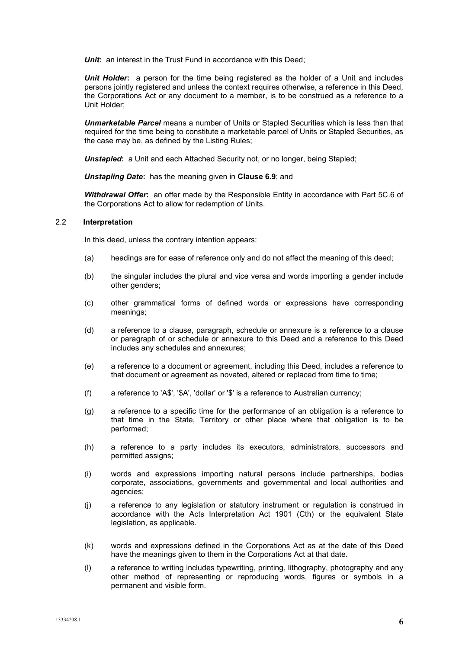**Unit:** an interest in the Trust Fund in accordance with this Deed;

**Unit Holder:** a person for the time being registered as the holder of a Unit and includes persons jointly registered and unless the context requires otherwise, a reference in this Deed, the Corporations Act or any document to a member, is to be construed as a reference to a Unit Holder;

*Unmarketable Parcel* means a number of Units or Stapled Securities which is less than that required for the time being to constitute a marketable parcel of Units or Stapled Securities, as the case may be, as defined by the Listing Rules;

**Unstapled:** a Unit and each Attached Security not, or no longer, being Stapled:

*Unstapling Date***:** has the meaning given in **Clause [6.9](#page-13-0)**; and

*Withdrawal Offer***:** an offer made by the Responsible Entity in accordance with Part 5C.6 of the Corporations Act to allow for redemption of Units.

## 2.2 **Interpretation**

In this deed, unless the contrary intention appears:

- (a) headings are for ease of reference only and do not affect the meaning of this deed;
- (b) the singular includes the plural and vice versa and words importing a gender include other genders;
- (c) other grammatical forms of defined words or expressions have corresponding meanings;
- (d) a reference to a clause, paragraph, schedule or annexure is a reference to a clause or paragraph of or schedule or annexure to this Deed and a reference to this Deed includes any schedules and annexures;
- (e) a reference to a document or agreement, including this Deed, includes a reference to that document or agreement as novated, altered or replaced from time to time;
- (f) a reference to 'A\$', '\$A', 'dollar' or '\$' is a reference to Australian currency;
- (g) a reference to a specific time for the performance of an obligation is a reference to that time in the State, Territory or other place where that obligation is to be performed;
- (h) a reference to a party includes its executors, administrators, successors and permitted assigns;
- (i) words and expressions importing natural persons include partnerships, bodies corporate, associations, governments and governmental and local authorities and agencies;
- (j) a reference to any legislation or statutory instrument or regulation is construed in accordance with the Acts Interpretation Act 1901 (Cth) or the equivalent State legislation, as applicable.
- (k) words and expressions defined in the Corporations Act as at the date of this Deed have the meanings given to them in the Corporations Act at that date.
- (l) a reference to writing includes typewriting, printing, lithography, photography and any other method of representing or reproducing words, figures or symbols in a permanent and visible form.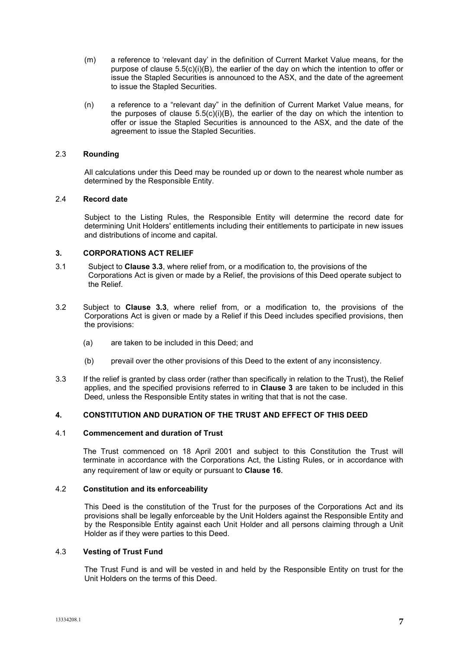- (m) a reference to 'relevant day' in the definition of Current Market Value means, for the purpose of clause  $5.5(c)(i)(B)$ , the earlier of the day on which the intention to offer or issue the Stapled Securities is announced to the ASX, and the date of the agreement to issue the Stapled Securities.
- (n) a reference to a "relevant day" in the definition of Current Market Value means, for the purposes of clause  $5.5(c)(i)(B)$ , the earlier of the day on which the intention to offer or issue the Stapled Securities is announced to the ASX, and the date of the agreement to issue the Stapled Securities.

# 2.3 **Rounding**

All calculations under this Deed may be rounded up or down to the nearest whole number as determined by the Responsible Entity.

## 2.4 **Record date**

<span id="page-6-1"></span>Subject to the Listing Rules, the Responsible Entity will determine the record date for determining Unit Holders' entitlements including their entitlements to participate in new issues and distributions of income and capital.

# **3. CORPORATIONS ACT RELIEF**

- 3.1 Subject to **Clause [3.3](#page-6-0)**, where relief from, or a modification to, the provisions of the Corporations Act is given or made by a Relief, the provisions of this Deed operate subject to the Relief.
- 3.2 Subject to **Clause [3.3](#page-6-0)**, where relief from, or a modification to, the provisions of the Corporations Act is given or made by a Relief if this Deed includes specified provisions, then the provisions:
	- (a) are taken to be included in this Deed; and
	- (b) prevail over the other provisions of this Deed to the extent of any inconsistency.
- <span id="page-6-0"></span>3.3 If the relief is granted by class order (rather than specifically in relation to the Trust), the Relief applies, and the specified provisions referred to in **Clause [3](#page-6-1)** are taken to be included in this Deed, unless the Responsible Entity states in writing that that is not the case.

# **4. CONSTITUTION AND DURATION OF THE TRUST AND EFFECT OF THIS DEED**

#### <span id="page-6-2"></span>4.1 **Commencement and duration of Trust**

The Trust commenced on 18 April 2001 and subject to this Constitution the Trust will terminate in accordance with the Corporations Act, the Listing Rules, or in accordance with any requirement of law or equity or pursuant to **Clause [16](#page-22-0)**.

#### 4.2 **Constitution and its enforceability**

This Deed is the constitution of the Trust for the purposes of the Corporations Act and its provisions shall be legally enforceable by the Unit Holders against the Responsible Entity and by the Responsible Entity against each Unit Holder and all persons claiming through a Unit Holder as if they were parties to this Deed.

#### 4.3 **Vesting of Trust Fund**

The Trust Fund is and will be vested in and held by the Responsible Entity on trust for the Unit Holders on the terms of this Deed.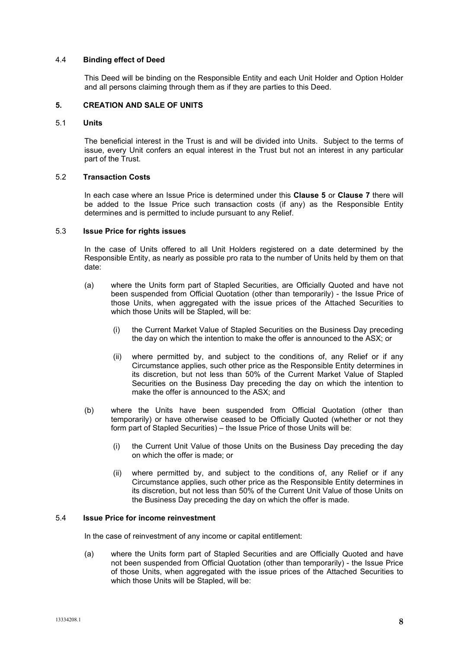## 4.4 **Binding effect of Deed**

This Deed will be binding on the Responsible Entity and each Unit Holder and Option Holder and all persons claiming through them as if they are parties to this Deed.

## <span id="page-7-0"></span>**5. CREATION AND SALE OF UNITS**

#### 5.1 **Units**

The beneficial interest in the Trust is and will be divided into Units. Subject to the terms of issue, every Unit confers an equal interest in the Trust but not an interest in any particular part of the Trust.

# 5.2 **Transaction Costs**

In each case where an Issue Price is determined under this **Clause [5](#page-7-0)** or **Clause [7](#page-15-0)** there will be added to the Issue Price such transaction costs (if any) as the Responsible Entity determines and is permitted to include pursuant to any Relief.

#### 5.3 **Issue Price for rights issues**

In the case of Units offered to all Unit Holders registered on a date determined by the Responsible Entity, as nearly as possible pro rata to the number of Units held by them on that date:

- (a) where the Units form part of Stapled Securities, are Officially Quoted and have not been suspended from Official Quotation (other than temporarily) - the Issue Price of those Units, when aggregated with the issue prices of the Attached Securities to which those Units will be Stapled, will be:
	- (i) the Current Market Value of Stapled Securities on the Business Day preceding the day on which the intention to make the offer is announced to the ASX; or
	- (ii) where permitted by, and subject to the conditions of, any Relief or if any Circumstance applies, such other price as the Responsible Entity determines in its discretion, but not less than 50% of the Current Market Value of Stapled Securities on the Business Day preceding the day on which the intention to make the offer is announced to the ASX; and
- (b) where the Units have been suspended from Official Quotation (other than temporarily) or have otherwise ceased to be Officially Quoted (whether or not they form part of Stapled Securities) – the Issue Price of those Units will be:
	- (i) the Current Unit Value of those Units on the Business Day preceding the day on which the offer is made; or
	- (ii) where permitted by, and subject to the conditions of, any Relief or if any Circumstance applies, such other price as the Responsible Entity determines in its discretion, but not less than 50% of the Current Unit Value of those Units on the Business Day preceding the day on which the offer is made.

# 5.4 **Issue Price for income reinvestment**

In the case of reinvestment of any income or capital entitlement:

(a) where the Units form part of Stapled Securities and are Officially Quoted and have not been suspended from Official Quotation (other than temporarily) - the Issue Price of those Units, when aggregated with the issue prices of the Attached Securities to which those Units will be Stapled, will be: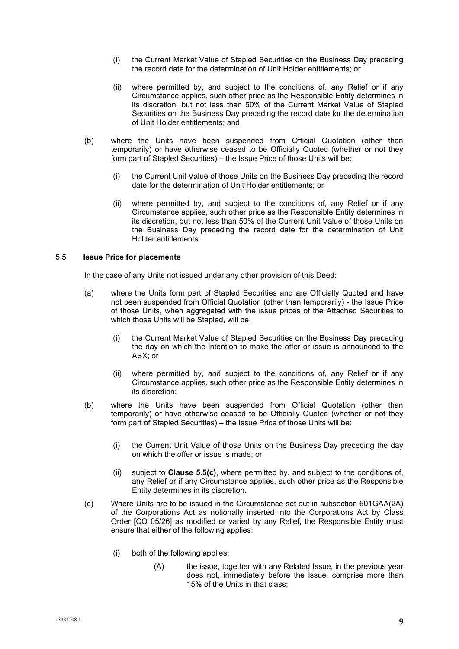- (i) the Current Market Value of Stapled Securities on the Business Day preceding the record date for the determination of Unit Holder entitlements; or
- (ii) where permitted by, and subject to the conditions of, any Relief or if any Circumstance applies, such other price as the Responsible Entity determines in its discretion, but not less than 50% of the Current Market Value of Stapled Securities on the Business Day preceding the record date for the determination of Unit Holder entitlements; and
- (b) where the Units have been suspended from Official Quotation (other than temporarily) or have otherwise ceased to be Officially Quoted (whether or not they form part of Stapled Securities) – the Issue Price of those Units will be:
	- (i) the Current Unit Value of those Units on the Business Day preceding the record date for the determination of Unit Holder entitlements; or
	- (ii) where permitted by, and subject to the conditions of, any Relief or if any Circumstance applies, such other price as the Responsible Entity determines in its discretion, but not less than 50% of the Current Unit Value of those Units on the Business Day preceding the record date for the determination of Unit Holder entitlements.

# 5.5 **Issue Price for placements**

In the case of any Units not issued under any other provision of this Deed:

- (a) where the Units form part of Stapled Securities and are Officially Quoted and have not been suspended from Official Quotation (other than temporarily) - the Issue Price of those Units, when aggregated with the issue prices of the Attached Securities to which those Units will be Stapled, will be:
	- (i) the Current Market Value of Stapled Securities on the Business Day preceding the day on which the intention to make the offer or issue is announced to the ASX; or
	- (ii) where permitted by, and subject to the conditions of, any Relief or if any Circumstance applies, such other price as the Responsible Entity determines in its discretion;
- (b) where the Units have been suspended from Official Quotation (other than temporarily) or have otherwise ceased to be Officially Quoted (whether or not they form part of Stapled Securities) – the Issue Price of those Units will be:
	- (i) the Current Unit Value of those Units on the Business Day preceding the day on which the offer or issue is made; or
	- (ii) subject to **Clause [5.5\(c\)](#page-8-0)**, where permitted by, and subject to the conditions of, any Relief or if any Circumstance applies, such other price as the Responsible Entity determines in its discretion.
- <span id="page-8-0"></span>(c) Where Units are to be issued in the Circumstance set out in subsection 601GAA(2A) of the Corporations Act as notionally inserted into the Corporations Act by Class Order [CO 05/26] as modified or varied by any Relief, the Responsible Entity must ensure that either of the following applies:
	- (i) both of the following applies:
		- (A) the issue, together with any Related Issue, in the previous year does not, immediately before the issue, comprise more than 15% of the Units in that class;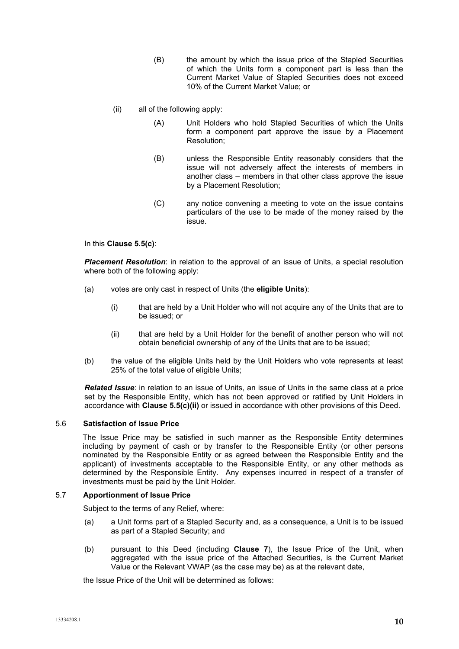- (B) the amount by which the issue price of the Stapled Securities of which the Units form a component part is less than the Current Market Value of Stapled Securities does not exceed 10% of the Current Market Value; or
- <span id="page-9-0"></span>(ii) all of the following apply:
	- (A) Unit Holders who hold Stapled Securities of which the Units form a component part approve the issue by a Placement Resolution;
	- (B) unless the Responsible Entity reasonably considers that the issue will not adversely affect the interests of members in another class – members in that other class approve the issue by a Placement Resolution;
	- (C) any notice convening a meeting to vote on the issue contains particulars of the use to be made of the money raised by the issue.

In this **Clause [5.5\(c\)](#page-8-0)**:

*Placement Resolution*: in relation to the approval of an issue of Units, a special resolution where both of the following apply:

- (a) votes are only cast in respect of Units (the **eligible Units**):
	- (i) that are held by a Unit Holder who will not acquire any of the Units that are to be issued; or
	- (ii) that are held by a Unit Holder for the benefit of another person who will not obtain beneficial ownership of any of the Units that are to be issued;
- (b) the value of the eligible Units held by the Unit Holders who vote represents at least 25% of the total value of eligible Units;

*Related Issue*: in relation to an issue of Units, an issue of Units in the same class at a price set by the Responsible Entity, which has not been approved or ratified by Unit Holders in accordance with **Clause [5.5\(c\)\(ii\)](#page-9-0)** or issued in accordance with other provisions of this Deed.

# <span id="page-9-1"></span>5.6 **Satisfaction of Issue Price**

The Issue Price may be satisfied in such manner as the Responsible Entity determines including by payment of cash or by transfer to the Responsible Entity (or other persons nominated by the Responsible Entity or as agreed between the Responsible Entity and the applicant) of investments acceptable to the Responsible Entity, or any other methods as determined by the Responsible Entity. Any expenses incurred in respect of a transfer of investments must be paid by the Unit Holder.

#### 5.7 **Apportionment of Issue Price**

Subject to the terms of any Relief, where:

- (a) a Unit forms part of a Stapled Security and, as a consequence, a Unit is to be issued as part of a Stapled Security; and
- (b) pursuant to this Deed (including **Clause [7](#page-15-0)**), the Issue Price of the Unit, when aggregated with the issue price of the Attached Securities, is the Current Market Value or the Relevant VWAP (as the case may be) as at the relevant date,

the Issue Price of the Unit will be determined as follows: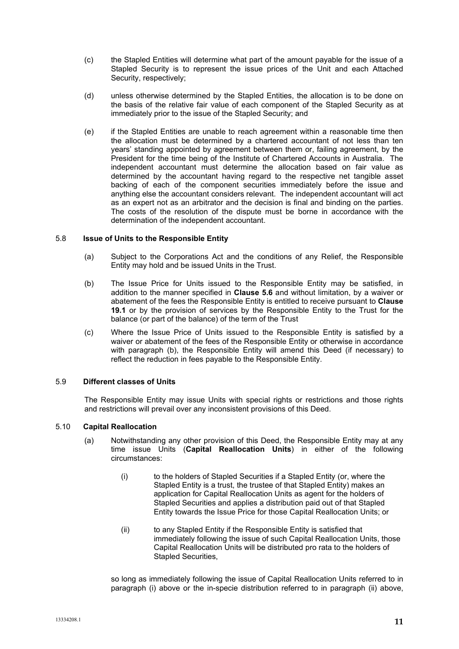- (c) the Stapled Entities will determine what part of the amount payable for the issue of a Stapled Security is to represent the issue prices of the Unit and each Attached Security, respectively;
- (d) unless otherwise determined by the Stapled Entities, the allocation is to be done on the basis of the relative fair value of each component of the Stapled Security as at immediately prior to the issue of the Stapled Security; and
- (e) if the Stapled Entities are unable to reach agreement within a reasonable time then the allocation must be determined by a chartered accountant of not less than ten years' standing appointed by agreement between them or, failing agreement, by the President for the time being of the Institute of Chartered Accounts in Australia. The independent accountant must determine the allocation based on fair value as determined by the accountant having regard to the respective net tangible asset backing of each of the component securities immediately before the issue and anything else the accountant considers relevant. The independent accountant will act as an expert not as an arbitrator and the decision is final and binding on the parties. The costs of the resolution of the dispute must be borne in accordance with the determination of the independent accountant.

# 5.8 **Issue of Units to the Responsible Entity**

- (a) Subject to the Corporations Act and the conditions of any Relief, the Responsible Entity may hold and be issued Units in the Trust.
- (b) The Issue Price for Units issued to the Responsible Entity may be satisfied, in addition to the manner specified in **Clause [5.6](#page-9-1)** and without limitation, by a waiver or abatement of the fees the Responsible Entity is entitled to receive pursuant to **Clause [19.1](#page-25-0)** or by the provision of services by the Responsible Entity to the Trust for the balance (or part of the balance) of the term of the Trust
- (c) Where the Issue Price of Units issued to the Responsible Entity is satisfied by a waiver or abatement of the fees of the Responsible Entity or otherwise in accordance with paragraph (b), the Responsible Entity will amend this Deed (if necessary) to reflect the reduction in fees payable to the Responsible Entity.

# 5.9 **Different classes of Units**

The Responsible Entity may issue Units with special rights or restrictions and those rights and restrictions will prevail over any inconsistent provisions of this Deed.

## 5.10 **Capital Reallocation**

- (a) Notwithstanding any other provision of this Deed, the Responsible Entity may at any time issue Units (**Capital Reallocation Units**) in either of the following circumstances:
	- (i) to the holders of Stapled Securities if a Stapled Entity (or, where the Stapled Entity is a trust, the trustee of that Stapled Entity) makes an application for Capital Reallocation Units as agent for the holders of Stapled Securities and applies a distribution paid out of that Stapled Entity towards the Issue Price for those Capital Reallocation Units; or
	- (ii) to any Stapled Entity if the Responsible Entity is satisfied that immediately following the issue of such Capital Reallocation Units, those Capital Reallocation Units will be distributed pro rata to the holders of Stapled Securities,

so long as immediately following the issue of Capital Reallocation Units referred to in paragraph (i) above or the in-specie distribution referred to in paragraph (ii) above,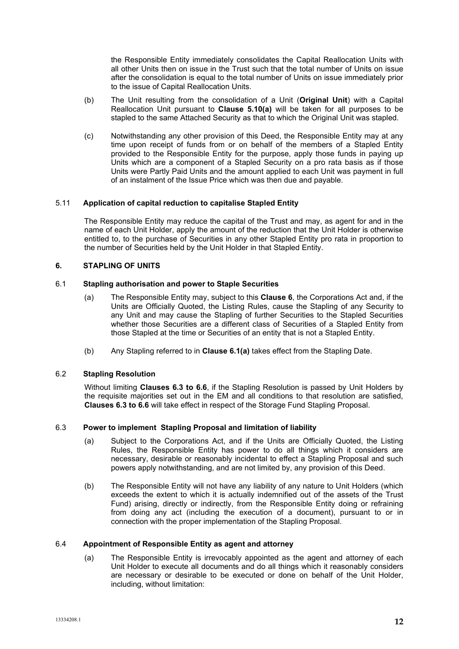the Responsible Entity immediately consolidates the Capital Reallocation Units with all other Units then on issue in the Trust such that the total number of Units on issue after the consolidation is equal to the total number of Units on issue immediately prior to the issue of Capital Reallocation Units.

- (b) The Unit resulting from the consolidation of a Unit (**Original Unit**) with a Capital Reallocation Unit pursuant to **Clause 5.10(a)** will be taken for all purposes to be stapled to the same Attached Security as that to which the Original Unit was stapled.
- (c) Notwithstanding any other provision of this Deed, the Responsible Entity may at any time upon receipt of funds from or on behalf of the members of a Stapled Entity provided to the Responsible Entity for the purpose, apply those funds in paying up Units which are a component of a Stapled Security on a pro rata basis as if those Units were Partly Paid Units and the amount applied to each Unit was payment in full of an instalment of the Issue Price which was then due and payable.

# 5.11 **Application of capital reduction to capitalise Stapled Entity**

The Responsible Entity may reduce the capital of the Trust and may, as agent for and in the name of each Unit Holder, apply the amount of the reduction that the Unit Holder is otherwise entitled to, to the purchase of Securities in any other Stapled Entity pro rata in proportion to the number of Securities held by the Unit Holder in that Stapled Entity.

# **6. STAPLING OF UNITS**

# 6.1 **Stapling authorisation and power to Staple Securities**

- (a) The Responsible Entity may, subject to this **Clause 6**, the Corporations Act and, if the Units are Officially Quoted, the Listing Rules, cause the Stapling of any Security to any Unit and may cause the Stapling of further Securities to the Stapled Securities whether those Securities are a different class of Securities of a Stapled Entity from those Stapled at the time or Securities of an entity that is not a Stapled Entity.
- (b) Any Stapling referred to in **Clause 6.1(a)** takes effect from the Stapling Date.

# 6.2 **Stapling Resolution**

Without limiting **Clauses 6.3 to 6.6**, if the Stapling Resolution is passed by Unit Holders by the requisite majorities set out in the EM and all conditions to that resolution are satisfied, **Clauses 6.3 to 6.6** will take effect in respect of the Storage Fund Stapling Proposal.

# 6.3 **Power to implement Stapling Proposal and limitation of liability**

- (a) Subject to the Corporations Act, and if the Units are Officially Quoted, the Listing Rules, the Responsible Entity has power to do all things which it considers are necessary, desirable or reasonably incidental to effect a Stapling Proposal and such powers apply notwithstanding, and are not limited by, any provision of this Deed.
- (b) The Responsible Entity will not have any liability of any nature to Unit Holders (which exceeds the extent to which it is actually indemnified out of the assets of the Trust Fund) arising, directly or indirectly, from the Responsible Entity doing or refraining from doing any act (including the execution of a document), pursuant to or in connection with the proper implementation of the Stapling Proposal.

## 6.4 **Appointment of Responsible Entity as agent and attorney**

(a) The Responsible Entity is irrevocably appointed as the agent and attorney of each Unit Holder to execute all documents and do all things which it reasonably considers are necessary or desirable to be executed or done on behalf of the Unit Holder, including, without limitation: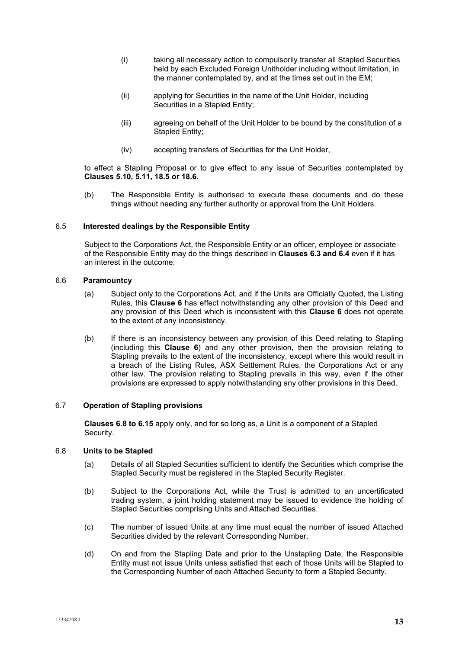- (i) taking all necessary action to compulsorily transfer all Stapled Securities held by each Excluded Foreign Unitholder including without limitation, in the manner contemplated by, and at the times set out in the EM;
- (ii) applying for Securities in the name of the Unit Holder, including Securities in a Stapled Entity;
- (iii) agreeing on behalf of the Unit Holder to be bound by the constitution of a Stapled Entity;
- (iv) accepting transfers of Securities for the Unit Holder,

to effect a Stapling Proposal or to give effect to any issue of Securities contemplated by **Clauses 5.10, 5.11, 18.5 or 18.6**.

(b) The Responsible Entity is authorised to execute these documents and do these things without needing any further authority or approval from the Unit Holders.

# 6.5 **Interested dealings by the Responsible Entity**

Subject to the Corporations Act, the Responsible Entity or an officer, employee or associate of the Responsible Entity may do the things described in **Clauses 6.3 and 6.4** even if it has an interest in the outcome.

#### 6.6 **Paramountcy**

- (a) Subject only to the Corporations Act, and if the Units are Officially Quoted, the Listing Rules, this **Clause 6** has effect notwithstanding any other provision of this Deed and any provision of this Deed which is inconsistent with this **Clause 6** does not operate to the extent of any inconsistency.
- (b) If there is an inconsistency between any provision of this Deed relating to Stapling (including this **Clause 6**) and any other provision, then the provision relating to Stapling prevails to the extent of the inconsistency, except where this would result in a breach of the Listing Rules, ASX Settlement Rules, the Corporations Act or any other law. The provision relating to Stapling prevails in this way, even if the other provisions are expressed to apply notwithstanding any other provisions in this Deed.

#### 6.7 **Operation of Stapling provisions**

**Clauses 6.8 to 6.15** apply only, and for so long as, a Unit is a component of a Stapled Security.

# 6.8 **Units to be Stapled**

- (a) Details of all Stapled Securities sufficient to identify the Securities which comprise the Stapled Security must be registered in the Stapled Security Register.
- (b) Subject to the Corporations Act, while the Trust is admitted to an uncertificated trading system, a joint holding statement may be issued to evidence the holding of Stapled Securities comprising Units and Attached Securities.
- (c) The number of issued Units at any time must equal the number of issued Attached Securities divided by the relevant Corresponding Number.
- (d) On and from the Stapling Date and prior to the Unstapling Date, the Responsible Entity must not issue Units unless satisfied that each of those Units will be Stapled to the Corresponding Number of each Attached Security to form a Stapled Security.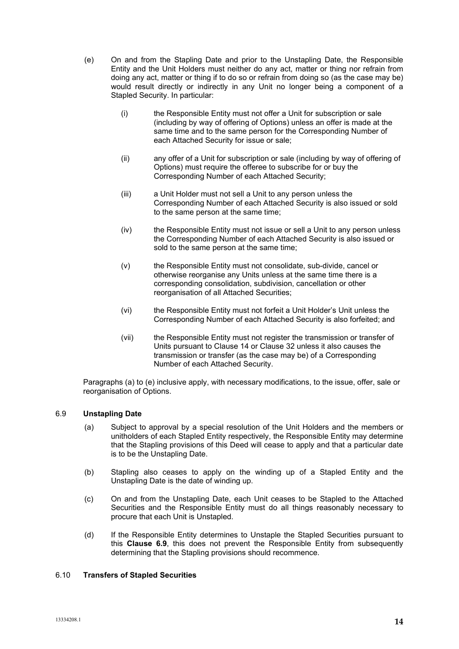- (e) On and from the Stapling Date and prior to the Unstapling Date, the Responsible Entity and the Unit Holders must neither do any act, matter or thing nor refrain from doing any act, matter or thing if to do so or refrain from doing so (as the case may be) would result directly or indirectly in any Unit no longer being a component of a Stapled Security. In particular:
	- (i) the Responsible Entity must not offer a Unit for subscription or sale (including by way of offering of Options) unless an offer is made at the same time and to the same person for the Corresponding Number of each Attached Security for issue or sale;
	- (ii) any offer of a Unit for subscription or sale (including by way of offering of Options) must require the offeree to subscribe for or buy the Corresponding Number of each Attached Security;
	- (iii) a Unit Holder must not sell a Unit to any person unless the Corresponding Number of each Attached Security is also issued or sold to the same person at the same time;
	- (iv) the Responsible Entity must not issue or sell a Unit to any person unless the Corresponding Number of each Attached Security is also issued or sold to the same person at the same time;
	- (v) the Responsible Entity must not consolidate, sub-divide, cancel or otherwise reorganise any Units unless at the same time there is a corresponding consolidation, subdivision, cancellation or other reorganisation of all Attached Securities;
	- (vi) the Responsible Entity must not forfeit a Unit Holder's Unit unless the Corresponding Number of each Attached Security is also forfeited; and
	- (vii) the Responsible Entity must not register the transmission or transfer of Units pursuant to Clause 14 or Clause 32 unless it also causes the transmission or transfer (as the case may be) of a Corresponding Number of each Attached Security.

Paragraphs (a) to (e) inclusive apply, with necessary modifications, to the issue, offer, sale or reorganisation of Options.

# <span id="page-13-0"></span>6.9 **Unstapling Date**

- (a) Subject to approval by a special resolution of the Unit Holders and the members or unitholders of each Stapled Entity respectively, the Responsible Entity may determine that the Stapling provisions of this Deed will cease to apply and that a particular date is to be the Unstapling Date.
- (b) Stapling also ceases to apply on the winding up of a Stapled Entity and the Unstapling Date is the date of winding up.
- (c) On and from the Unstapling Date, each Unit ceases to be Stapled to the Attached Securities and the Responsible Entity must do all things reasonably necessary to procure that each Unit is Unstapled.
- (d) If the Responsible Entity determines to Unstaple the Stapled Securities pursuant to this **Clause 6.9**, this does not prevent the Responsible Entity from subsequently determining that the Stapling provisions should recommence.

#### 6.10 **Transfers of Stapled Securities**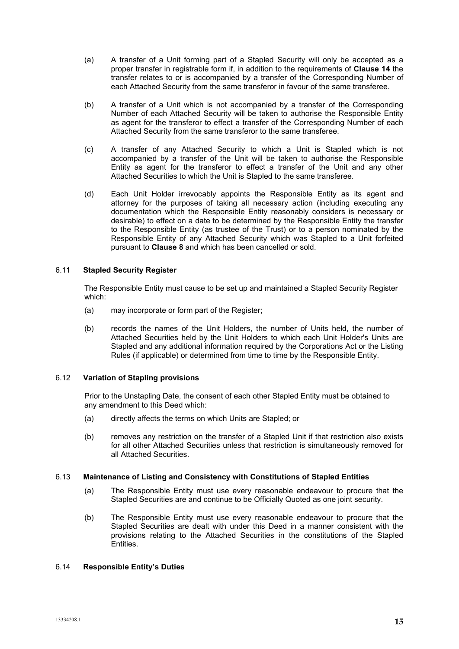- (a) A transfer of a Unit forming part of a Stapled Security will only be accepted as a proper transfer in registrable form if, in addition to the requirements of **Clause 14** the transfer relates to or is accompanied by a transfer of the Corresponding Number of each Attached Security from the same transferor in favour of the same transferee.
- (b) A transfer of a Unit which is not accompanied by a transfer of the Corresponding Number of each Attached Security will be taken to authorise the Responsible Entity as agent for the transferor to effect a transfer of the Corresponding Number of each Attached Security from the same transferor to the same transferee.
- (c) A transfer of any Attached Security to which a Unit is Stapled which is not accompanied by a transfer of the Unit will be taken to authorise the Responsible Entity as agent for the transferor to effect a transfer of the Unit and any other Attached Securities to which the Unit is Stapled to the same transferee.
- (d) Each Unit Holder irrevocably appoints the Responsible Entity as its agent and attorney for the purposes of taking all necessary action (including executing any documentation which the Responsible Entity reasonably considers is necessary or desirable) to effect on a date to be determined by the Responsible Entity the transfer to the Responsible Entity (as trustee of the Trust) or to a person nominated by the Responsible Entity of any Attached Security which was Stapled to a Unit forfeited pursuant to **Clause 8** and which has been cancelled or sold.

# 6.11 **Stapled Security Register**

The Responsible Entity must cause to be set up and maintained a Stapled Security Register which:

- (a) may incorporate or form part of the Register;
- (b) records the names of the Unit Holders, the number of Units held, the number of Attached Securities held by the Unit Holders to which each Unit Holder's Units are Stapled and any additional information required by the Corporations Act or the Listing Rules (if applicable) or determined from time to time by the Responsible Entity.

# 6.12 **Variation of Stapling provisions**

Prior to the Unstapling Date, the consent of each other Stapled Entity must be obtained to any amendment to this Deed which:

- (a) directly affects the terms on which Units are Stapled; or
- (b) removes any restriction on the transfer of a Stapled Unit if that restriction also exists for all other Attached Securities unless that restriction is simultaneously removed for all Attached Securities.

# 6.13 **Maintenance of Listing and Consistency with Constitutions of Stapled Entities**

- (a) The Responsible Entity must use every reasonable endeavour to procure that the Stapled Securities are and continue to be Officially Quoted as one joint security.
- (b) The Responsible Entity must use every reasonable endeavour to procure that the Stapled Securities are dealt with under this Deed in a manner consistent with the provisions relating to the Attached Securities in the constitutions of the Stapled .<br>Entities.

# 6.14 **Responsible Entity's Duties**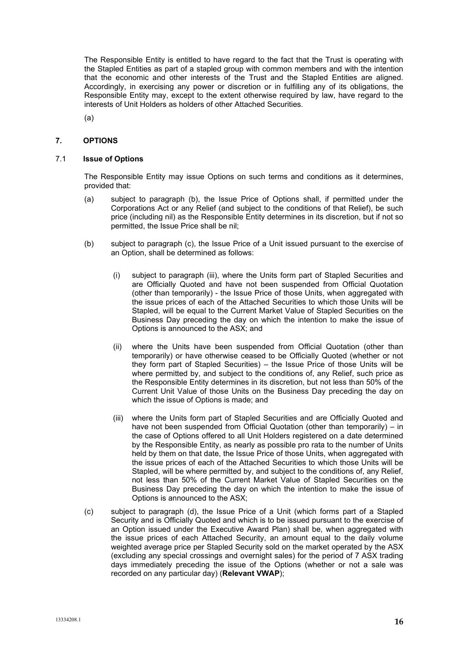The Responsible Entity is entitled to have regard to the fact that the Trust is operating with the Stapled Entities as part of a stapled group with common members and with the intention that the economic and other interests of the Trust and the Stapled Entities are aligned. Accordingly, in exercising any power or discretion or in fulfilling any of its obligations, the Responsible Entity may, except to the extent otherwise required by law, have regard to the interests of Unit Holders as holders of other Attached Securities.

(a)

# <span id="page-15-0"></span>**7. OPTIONS**

#### 7.1 **Issue of Options**

The Responsible Entity may issue Options on such terms and conditions as it determines, provided that:

- (a) subject to paragraph (b), the Issue Price of Options shall, if permitted under the Corporations Act or any Relief (and subject to the conditions of that Relief), be such price (including nil) as the Responsible Entity determines in its discretion, but if not so permitted, the Issue Price shall be nil;
- (b) subject to paragraph (c), the Issue Price of a Unit issued pursuant to the exercise of an Option, shall be determined as follows:
	- (i) subject to paragraph (iii), where the Units form part of Stapled Securities and are Officially Quoted and have not been suspended from Official Quotation (other than temporarily) - the Issue Price of those Units, when aggregated with the issue prices of each of the Attached Securities to which those Units will be Stapled, will be equal to the Current Market Value of Stapled Securities on the Business Day preceding the day on which the intention to make the issue of Options is announced to the ASX; and
	- (ii) where the Units have been suspended from Official Quotation (other than temporarily) or have otherwise ceased to be Officially Quoted (whether or not they form part of Stapled Securities) – the Issue Price of those Units will be where permitted by, and subject to the conditions of, any Relief, such price as the Responsible Entity determines in its discretion, but not less than 50% of the Current Unit Value of those Units on the Business Day preceding the day on which the issue of Options is made; and
	- (iii) where the Units form part of Stapled Securities and are Officially Quoted and have not been suspended from Official Quotation (other than temporarily) – in the case of Options offered to all Unit Holders registered on a date determined by the Responsible Entity, as nearly as possible pro rata to the number of Units held by them on that date, the Issue Price of those Units, when aggregated with the issue prices of each of the Attached Securities to which those Units will be Stapled, will be where permitted by, and subject to the conditions of, any Relief, not less than 50% of the Current Market Value of Stapled Securities on the Business Day preceding the day on which the intention to make the issue of Options is announced to the ASX;
- (c) subject to paragraph (d), the Issue Price of a Unit (which forms part of a Stapled Security and is Officially Quoted and which is to be issued pursuant to the exercise of an Option issued under the Executive Award Plan) shall be, when aggregated with the issue prices of each Attached Security, an amount equal to the daily volume weighted average price per Stapled Security sold on the market operated by the ASX (excluding any special crossings and overnight sales) for the period of 7 ASX trading days immediately preceding the issue of the Options (whether or not a sale was recorded on any particular day) (**Relevant VWAP**);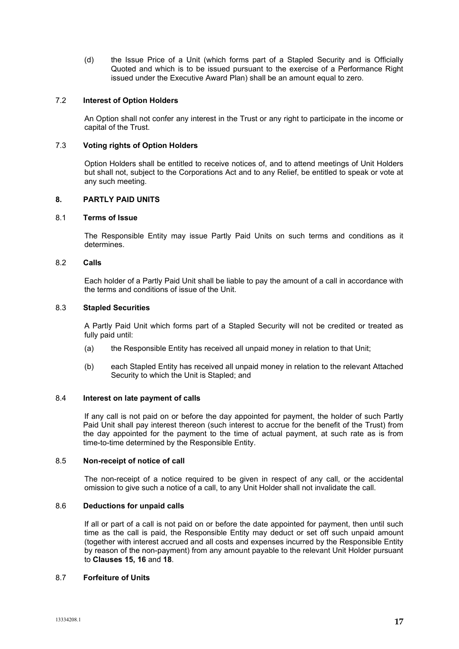(d) the Issue Price of a Unit (which forms part of a Stapled Security and is Officially Quoted and which is to be issued pursuant to the exercise of a Performance Right issued under the Executive Award Plan) shall be an amount equal to zero.

# 7.2 **Interest of Option Holders**

An Option shall not confer any interest in the Trust or any right to participate in the income or capital of the Trust.

# 7.3 **Voting rights of Option Holders**

Option Holders shall be entitled to receive notices of, and to attend meetings of Unit Holders but shall not, subject to the Corporations Act and to any Relief, be entitled to speak or vote at any such meeting.

# <span id="page-16-0"></span>**8. PARTLY PAID UNITS**

# 8.1 **Terms of Issue**

The Responsible Entity may issue Partly Paid Units on such terms and conditions as it determines.

# 8.2 **Calls**

Each holder of a Partly Paid Unit shall be liable to pay the amount of a call in accordance with the terms and conditions of issue of the Unit.

# 8.3 **Stapled Securities**

A Partly Paid Unit which forms part of a Stapled Security will not be credited or treated as fully paid until:

- (a) the Responsible Entity has received all unpaid money in relation to that Unit;
- (b) each Stapled Entity has received all unpaid money in relation to the relevant Attached Security to which the Unit is Stapled; and

#### <span id="page-16-1"></span>8.4 **Interest on late payment of calls**

If any call is not paid on or before the day appointed for payment, the holder of such Partly Paid Unit shall pay interest thereon (such interest to accrue for the benefit of the Trust) from the day appointed for the payment to the time of actual payment, at such rate as is from time-to-time determined by the Responsible Entity.

#### 8.5 **Non-receipt of notice of call**

The non-receipt of a notice required to be given in respect of any call, or the accidental omission to give such a notice of a call, to any Unit Holder shall not invalidate the call.

# <span id="page-16-2"></span>8.6 **Deductions for unpaid calls**

If all or part of a call is not paid on or before the date appointed for payment, then until such time as the call is paid, the Responsible Entity may deduct or set off such unpaid amount (together with interest accrued and all costs and expenses incurred by the Responsible Entity by reason of the non-payment) from any amount payable to the relevant Unit Holder pursuant to **Clauses [15,](#page-21-0) [16](#page-22-0)** and **[18](#page-23-0)**.

# 8.7 **Forfeiture of Units**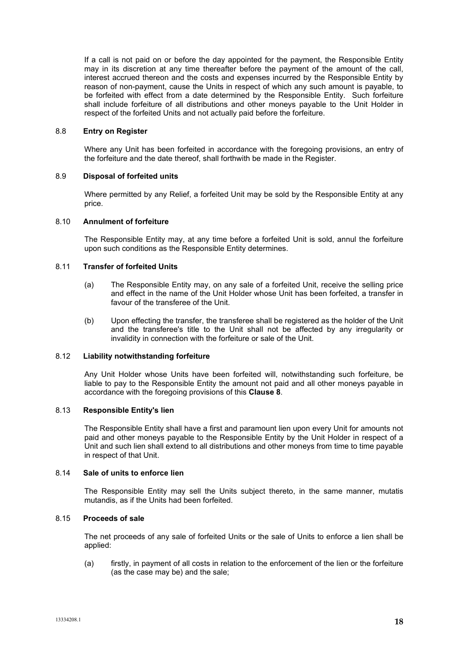If a call is not paid on or before the day appointed for the payment, the Responsible Entity may in its discretion at any time thereafter before the payment of the amount of the call, interest accrued thereon and the costs and expenses incurred by the Responsible Entity by reason of non-payment, cause the Units in respect of which any such amount is payable, to be forfeited with effect from a date determined by the Responsible Entity. Such forfeiture shall include forfeiture of all distributions and other moneys payable to the Unit Holder in respect of the forfeited Units and not actually paid before the forfeiture.

# 8.8 **Entry on Register**

Where any Unit has been forfeited in accordance with the foregoing provisions, an entry of the forfeiture and the date thereof, shall forthwith be made in the Register.

#### <span id="page-17-0"></span>8.9 **Disposal of forfeited units**

Where permitted by any Relief, a forfeited Unit may be sold by the Responsible Entity at any price.

#### 8.10 **Annulment of forfeiture**

The Responsible Entity may, at any time before a forfeited Unit is sold, annul the forfeiture upon such conditions as the Responsible Entity determines.

# 8.11 **Transfer of forfeited Units**

- (a) The Responsible Entity may, on any sale of a forfeited Unit, receive the selling price and effect in the name of the Unit Holder whose Unit has been forfeited, a transfer in favour of the transferee of the Unit.
- (b) Upon effecting the transfer, the transferee shall be registered as the holder of the Unit and the transferee's title to the Unit shall not be affected by any irregularity or invalidity in connection with the forfeiture or sale of the Unit.

#### <span id="page-17-1"></span>8.12 **Liability notwithstanding forfeiture**

Any Unit Holder whose Units have been forfeited will, notwithstanding such forfeiture, be liable to pay to the Responsible Entity the amount not paid and all other moneys payable in accordance with the foregoing provisions of this **Clause [8](#page-16-0)**.

## 8.13 **Responsible Entity's lien**

The Responsible Entity shall have a first and paramount lien upon every Unit for amounts not paid and other moneys payable to the Responsible Entity by the Unit Holder in respect of a Unit and such lien shall extend to all distributions and other moneys from time to time payable in respect of that Unit.

# 8.14 **Sale of units to enforce lien**

The Responsible Entity may sell the Units subject thereto, in the same manner, mutatis mutandis, as if the Units had been forfeited.

# 8.15 **Proceeds of sale**

The net proceeds of any sale of forfeited Units or the sale of Units to enforce a lien shall be applied:

(a) firstly, in payment of all costs in relation to the enforcement of the lien or the forfeiture (as the case may be) and the sale;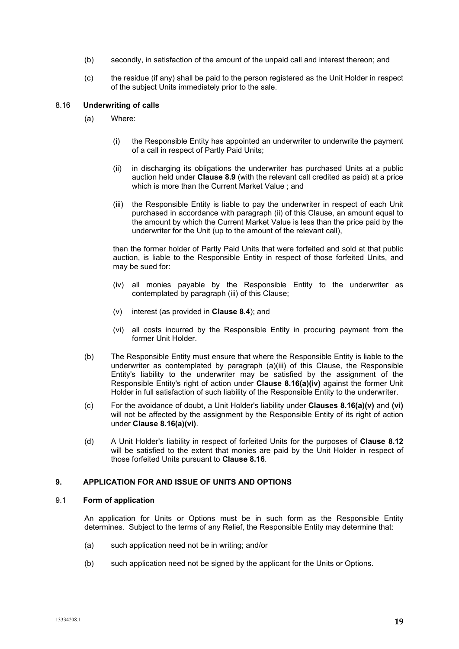- (b) secondly, in satisfaction of the amount of the unpaid call and interest thereon; and
- (c) the residue (if any) shall be paid to the person registered as the Unit Holder in respect of the subject Units immediately prior to the sale.

#### <span id="page-18-3"></span>8.16 **Underwriting of calls**

- (a) Where:
	- (i) the Responsible Entity has appointed an underwriter to underwrite the payment of a call in respect of Partly Paid Units;
	- (ii) in discharging its obligations the underwriter has purchased Units at a public auction held under **Clause [8.9](#page-17-0)** (with the relevant call credited as paid) at a price which is more than the Current Market Value ; and
	- (iii) the Responsible Entity is liable to pay the underwriter in respect of each Unit purchased in accordance with paragraph (ii) of this Clause, an amount equal to the amount by which the Current Market Value is less than the price paid by the underwriter for the Unit (up to the amount of the relevant call),

then the former holder of Partly Paid Units that were forfeited and sold at that public auction, is liable to the Responsible Entity in respect of those forfeited Units, and may be sued for:

- <span id="page-18-0"></span>(iv) all monies payable by the Responsible Entity to the underwriter as contemplated by paragraph (iii) of this Clause;
- (v) interest (as provided in **Clause [8.4](#page-16-1)**); and
- (vi) all costs incurred by the Responsible Entity in procuring payment from the former Unit Holder.
- <span id="page-18-2"></span><span id="page-18-1"></span>(b) The Responsible Entity must ensure that where the Responsible Entity is liable to the underwriter as contemplated by paragraph (a)(iii) of this Clause, the Responsible Entity's liability to the underwriter may be satisfied by the assignment of the Responsible Entity's right of action under **Clause [8.16\(a\)\(iv\)](#page-18-0)** against the former Unit Holder in full satisfaction of such liability of the Responsible Entity to the underwriter.
- (c) For the avoidance of doubt, a Unit Holder's liability under **Clauses [8.16\(a\)\(v\)](#page-18-1)** and **(vi)** will not be affected by the assignment by the Responsible Entity of its right of action under **Clause [8.16\(a\)\(vi\)](#page-18-2)**.
- (d) A Unit Holder's liability in respect of forfeited Units for the purposes of **Clause [8.12](#page-17-1)** will be satisfied to the extent that monies are paid by the Unit Holder in respect of those forfeited Units pursuant to **Clause [8.16](#page-18-3)**.

#### **9. APPLICATION FOR AND ISSUE OF UNITS AND OPTIONS**

#### 9.1 **Form of application**

An application for Units or Options must be in such form as the Responsible Entity determines. Subject to the terms of any Relief, the Responsible Entity may determine that:

- (a) such application need not be in writing; and/or
- (b) such application need not be signed by the applicant for the Units or Options.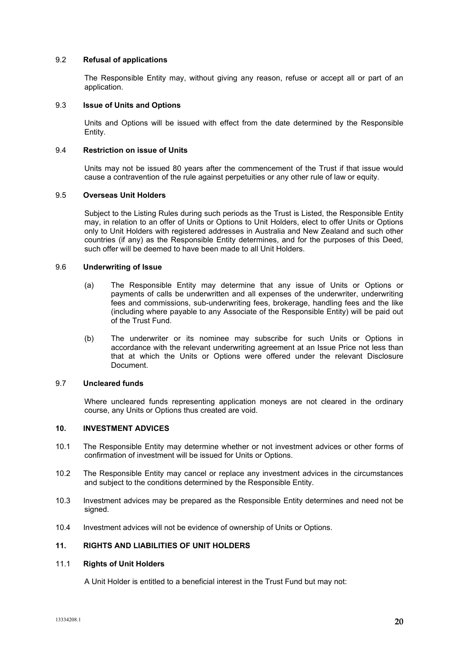## 9.2 **Refusal of applications**

The Responsible Entity may, without giving any reason, refuse or accept all or part of an application.

#### 9.3 **Issue of Units and Options**

Units and Options will be issued with effect from the date determined by the Responsible Entity.

#### 9.4 **Restriction on issue of Units**

Units may not be issued 80 years after the commencement of the Trust if that issue would cause a contravention of the rule against perpetuities or any other rule of law or equity.

#### 9.5 **Overseas Unit Holders**

Subject to the Listing Rules during such periods as the Trust is Listed, the Responsible Entity may, in relation to an offer of Units or Options to Unit Holders, elect to offer Units or Options only to Unit Holders with registered addresses in Australia and New Zealand and such other countries (if any) as the Responsible Entity determines, and for the purposes of this Deed, such offer will be deemed to have been made to all Unit Holders.

## 9.6 **Underwriting of Issue**

- (a) The Responsible Entity may determine that any issue of Units or Options or payments of calls be underwritten and all expenses of the underwriter, underwriting fees and commissions, sub-underwriting fees, brokerage, handling fees and the like (including where payable to any Associate of the Responsible Entity) will be paid out of the Trust Fund.
- (b) The underwriter or its nominee may subscribe for such Units or Options in accordance with the relevant underwriting agreement at an Issue Price not less than that at which the Units or Options were offered under the relevant Disclosure Document.

## 9.7 **Uncleared funds**

Where uncleared funds representing application moneys are not cleared in the ordinary course, any Units or Options thus created are void.

#### **10. INVESTMENT ADVICES**

- 10.1 The Responsible Entity may determine whether or not investment advices or other forms of confirmation of investment will be issued for Units or Options.
- 10.2 The Responsible Entity may cancel or replace any investment advices in the circumstances and subject to the conditions determined by the Responsible Entity.
- 10.3 Investment advices may be prepared as the Responsible Entity determines and need not be signed.
- 10.4 Investment advices will not be evidence of ownership of Units or Options.

# **11. RIGHTS AND LIABILITIES OF UNIT HOLDERS**

#### 11.1 **Rights of Unit Holders**

A Unit Holder is entitled to a beneficial interest in the Trust Fund but may not: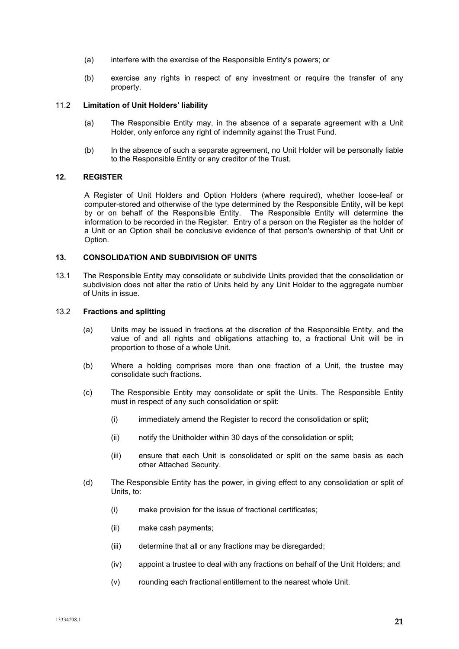- (a) interfere with the exercise of the Responsible Entity's powers; or
- (b) exercise any rights in respect of any investment or require the transfer of any property.

#### 11.2 **Limitation of Unit Holders' liability**

- (a) The Responsible Entity may, in the absence of a separate agreement with a Unit Holder, only enforce any right of indemnity against the Trust Fund.
- (b) In the absence of such a separate agreement, no Unit Holder will be personally liable to the Responsible Entity or any creditor of the Trust.

# <span id="page-20-0"></span>**12. REGISTER**

A Register of Unit Holders and Option Holders (where required), whether loose-leaf or computer-stored and otherwise of the type determined by the Responsible Entity, will be kept by or on behalf of the Responsible Entity. The Responsible Entity will determine the information to be recorded in the Register. Entry of a person on the Register as the holder of a Unit or an Option shall be conclusive evidence of that person's ownership of that Unit or Option.

## **13. CONSOLIDATION AND SUBDIVISION OF UNITS**

13.1 The Responsible Entity may consolidate or subdivide Units provided that the consolidation or subdivision does not alter the ratio of Units held by any Unit Holder to the aggregate number of Units in issue.

#### 13.2 **Fractions and splitting**

- (a) Units may be issued in fractions at the discretion of the Responsible Entity, and the value of and all rights and obligations attaching to, a fractional Unit will be in proportion to those of a whole Unit.
- (b) Where a holding comprises more than one fraction of a Unit, the trustee may consolidate such fractions.
- (c) The Responsible Entity may consolidate or split the Units. The Responsible Entity must in respect of any such consolidation or split:
	- (i) immediately amend the Register to record the consolidation or split;
	- (ii) notify the Unitholder within 30 days of the consolidation or split;
	- (iii) ensure that each Unit is consolidated or split on the same basis as each other Attached Security.
- (d) The Responsible Entity has the power, in giving effect to any consolidation or split of Units, to:
	- (i) make provision for the issue of fractional certificates;
	- (ii) make cash payments;
	- (iii) determine that all or any fractions may be disregarded;
	- (iv) appoint a trustee to deal with any fractions on behalf of the Unit Holders; and
	- (v) rounding each fractional entitlement to the nearest whole Unit.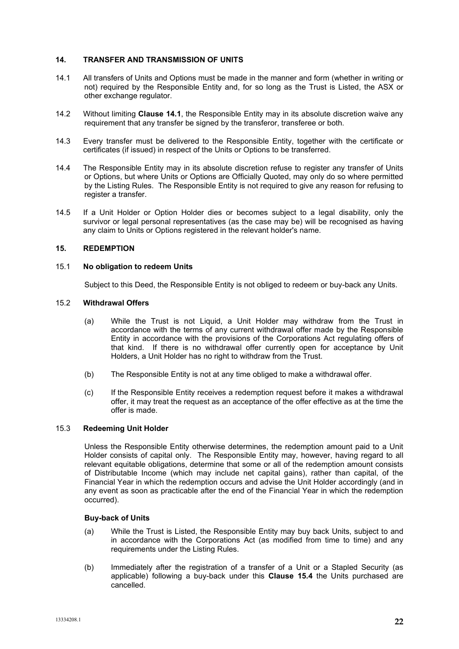# **14. TRANSFER AND TRANSMISSION OF UNITS**

- <span id="page-21-1"></span>14.1 All transfers of Units and Options must be made in the manner and form (whether in writing or not) required by the Responsible Entity and, for so long as the Trust is Listed, the ASX or other exchange regulator.
- 14.2 Without limiting **Clause [14.1](#page-21-1)**, the Responsible Entity may in its absolute discretion waive any requirement that any transfer be signed by the transferor, transferee or both.
- 14.3 Every transfer must be delivered to the Responsible Entity, together with the certificate or certificates (if issued) in respect of the Units or Options to be transferred.
- 14.4 The Responsible Entity may in its absolute discretion refuse to register any transfer of Units or Options, but where Units or Options are Officially Quoted, may only do so where permitted by the Listing Rules. The Responsible Entity is not required to give any reason for refusing to register a transfer.
- 14.5 If a Unit Holder or Option Holder dies or becomes subject to a legal disability, only the survivor or legal personal representatives (as the case may be) will be recognised as having any claim to Units or Options registered in the relevant holder's name.

## <span id="page-21-0"></span>**15. REDEMPTION**

# 15.1 **No obligation to redeem Units**

Subject to this Deed, the Responsible Entity is not obliged to redeem or buy-back any Units.

## 15.2 **Withdrawal Offers**

- (a) While the Trust is not Liquid, a Unit Holder may withdraw from the Trust in accordance with the terms of any current withdrawal offer made by the Responsible Entity in accordance with the provisions of the Corporations Act regulating offers of that kind. If there is no withdrawal offer currently open for acceptance by Unit Holders, a Unit Holder has no right to withdraw from the Trust.
- (b) The Responsible Entity is not at any time obliged to make a withdrawal offer.
- (c) If the Responsible Entity receives a redemption request before it makes a withdrawal offer, it may treat the request as an acceptance of the offer effective as at the time the offer is made.

#### <span id="page-21-2"></span>15.3 **Redeeming Unit Holder**

Unless the Responsible Entity otherwise determines, the redemption amount paid to a Unit Holder consists of capital only. The Responsible Entity may, however, having regard to all relevant equitable obligations, determine that some or all of the redemption amount consists of Distributable Income (which may include net capital gains), rather than capital, of the Financial Year in which the redemption occurs and advise the Unit Holder accordingly (and in any event as soon as practicable after the end of the Financial Year in which the redemption occurred).

#### **Buy-back of Units**

- (a) While the Trust is Listed, the Responsible Entity may buy back Units, subject to and in accordance with the Corporations Act (as modified from time to time) and any requirements under the Listing Rules.
- (b) Immediately after the registration of a transfer of a Unit or a Stapled Security (as applicable) following a buy-back under this **Clause 15.4** the Units purchased are cancelled.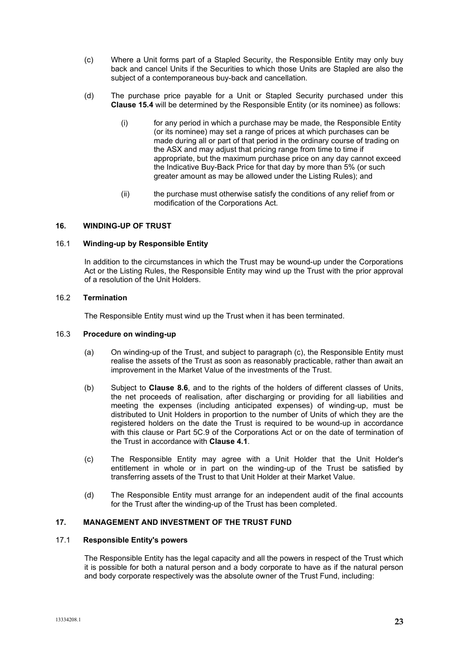- (c) Where a Unit forms part of a Stapled Security, the Responsible Entity may only buy back and cancel Units if the Securities to which those Units are Stapled are also the subject of a contemporaneous buy-back and cancellation.
- (d) The purchase price payable for a Unit or Stapled Security purchased under this **Clause 15.4** will be determined by the Responsible Entity (or its nominee) as follows:
	- (i) for any period in which a purchase may be made, the Responsible Entity (or its nominee) may set a range of prices at which purchases can be made during all or part of that period in the ordinary course of trading on the ASX and may adjust that pricing range from time to time if appropriate, but the maximum purchase price on any day cannot exceed the Indicative Buy-Back Price for that day by more than 5% (or such greater amount as may be allowed under the Listing Rules); and
	- (ii) the purchase must otherwise satisfy the conditions of any relief from or modification of the Corporations Act.

# <span id="page-22-0"></span>**16. WINDING-UP OF TRUST**

#### 16.1 **Winding-up by Responsible Entity**

In addition to the circumstances in which the Trust may be wound-up under the Corporations Act or the Listing Rules, the Responsible Entity may wind up the Trust with the prior approval of a resolution of the Unit Holders.

#### 16.2 **Termination**

The Responsible Entity must wind up the Trust when it has been terminated.

# 16.3 **Procedure on winding-up**

- (a) On winding-up of the Trust, and subject to paragraph (c), the Responsible Entity must realise the assets of the Trust as soon as reasonably practicable, rather than await an improvement in the Market Value of the investments of the Trust.
- (b) Subject to **Clause [8.6](#page-16-2)**, and to the rights of the holders of different classes of Units, the net proceeds of realisation, after discharging or providing for all liabilities and meeting the expenses (including anticipated expenses) of winding-up, must be distributed to Unit Holders in proportion to the number of Units of which they are the registered holders on the date the Trust is required to be wound-up in accordance with this clause or Part 5C.9 of the Corporations Act or on the date of termination of the Trust in accordance with **Clause [4.1](#page-6-2)**.
- (c) The Responsible Entity may agree with a Unit Holder that the Unit Holder's entitlement in whole or in part on the winding-up of the Trust be satisfied by transferring assets of the Trust to that Unit Holder at their Market Value.
- (d) The Responsible Entity must arrange for an independent audit of the final accounts for the Trust after the winding-up of the Trust has been completed.

## **17. MANAGEMENT AND INVESTMENT OF THE TRUST FUND**

## 17.1 **Responsible Entity's powers**

The Responsible Entity has the legal capacity and all the powers in respect of the Trust which it is possible for both a natural person and a body corporate to have as if the natural person and body corporate respectively was the absolute owner of the Trust Fund, including: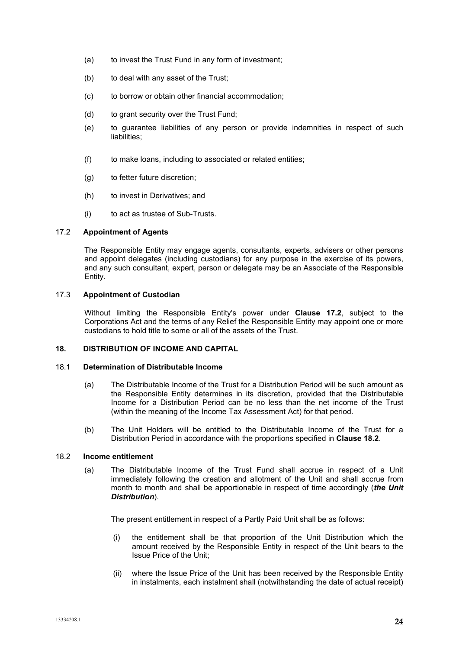- (a) to invest the Trust Fund in any form of investment;
- (b) to deal with any asset of the Trust;
- (c) to borrow or obtain other financial accommodation;
- (d) to grant security over the Trust Fund;
- (e) to guarantee liabilities of any person or provide indemnities in respect of such liabilities;
- (f) to make loans, including to associated or related entities;
- (g) to fetter future discretion;
- (h) to invest in Derivatives; and
- (i) to act as trustee of Sub-Trusts.

# <span id="page-23-1"></span>17.2 **Appointment of Agents**

The Responsible Entity may engage agents, consultants, experts, advisers or other persons and appoint delegates (including custodians) for any purpose in the exercise of its powers, and any such consultant, expert, person or delegate may be an Associate of the Responsible Entity.

# 17.3 **Appointment of Custodian**

Without limiting the Responsible Entity's power under **Clause [17.2](#page-23-1)**, subject to the Corporations Act and the terms of any Relief the Responsible Entity may appoint one or more custodians to hold title to some or all of the assets of the Trust.

# <span id="page-23-0"></span>**18. DISTRIBUTION OF INCOME AND CAPITAL**

## <span id="page-23-4"></span>18.1 **Determination of Distributable Income**

- (a) The Distributable Income of the Trust for a Distribution Period will be such amount as the Responsible Entity determines in its discretion, provided that the Distributable Income for a Distribution Period can be no less than the net income of the Trust (within the meaning of the Income Tax Assessment Act) for that period.
- (b) The Unit Holders will be entitled to the Distributable Income of the Trust for a Distribution Period in accordance with the proportions specified in **Clause [18.2](#page-23-2)**.

#### <span id="page-23-3"></span><span id="page-23-2"></span>18.2 **Income entitlement**

(a) The Distributable Income of the Trust Fund shall accrue in respect of a Unit immediately following the creation and allotment of the Unit and shall accrue from month to month and shall be apportionable in respect of time accordingly (*the Unit Distribution*).

The present entitlement in respect of a Partly Paid Unit shall be as follows:

- (i) the entitlement shall be that proportion of the Unit Distribution which the amount received by the Responsible Entity in respect of the Unit bears to the Issue Price of the Unit;
- (ii) where the Issue Price of the Unit has been received by the Responsible Entity in instalments, each instalment shall (notwithstanding the date of actual receipt)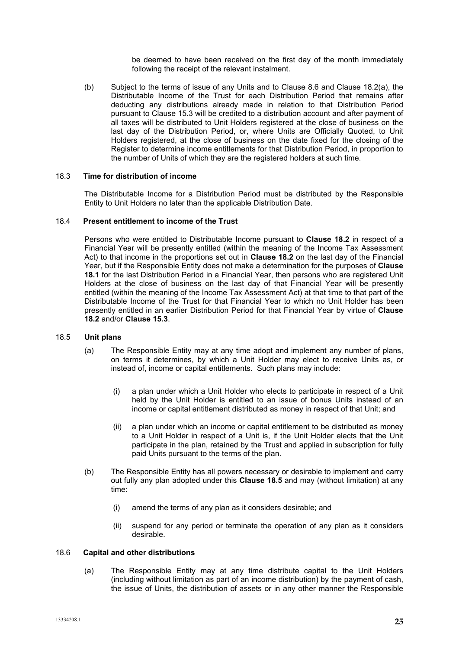be deemed to have been received on the first day of the month immediately following the receipt of the relevant instalment.

(b) Subject to the terms of issue of any Units and to Clause [8.6](#page-16-2) and Clause [18.2](#page-23-2)[\(a\),](#page-23-3) the Distributable Income of the Trust for each Distribution Period that remains after deducting any distributions already made in relation to that Distribution Period pursuant to Clause [15.3](#page-21-2) will be credited to a distribution account and after payment of all taxes will be distributed to Unit Holders registered at the close of business on the last day of the Distribution Period, or, where Units are Officially Quoted, to Unit Holders registered, at the close of business on the date fixed for the closing of the Register to determine income entitlements for that Distribution Period, in proportion to the number of Units of which they are the registered holders at such time.

## 18.3 **Time for distribution of income**

The Distributable Income for a Distribution Period must be distributed by the Responsible Entity to Unit Holders no later than the applicable Distribution Date.

#### 18.4 **Present entitlement to income of the Trust**

Persons who were entitled to Distributable Income pursuant to **Clause [18.2](#page-23-2)** in respect of a Financial Year will be presently entitled (within the meaning of the Income Tax Assessment Act) to that income in the proportions set out in **Clause [18.2](#page-23-2)** on the last day of the Financial Year, but if the Responsible Entity does not make a determination for the purposes of **Clause [18.1](#page-23-4)** for the last Distribution Period in a Financial Year, then persons who are registered Unit Holders at the close of business on the last day of that Financial Year will be presently entitled (within the meaning of the Income Tax Assessment Act) at that time to that part of the Distributable Income of the Trust for that Financial Year to which no Unit Holder has been presently entitled in an earlier Distribution Period for that Financial Year by virtue of **Clause [18.2](#page-23-2)** and/or **Clause [15.3](#page-21-2)**.

#### <span id="page-24-0"></span>18.5 **Unit plans**

- (a) The Responsible Entity may at any time adopt and implement any number of plans, on terms it determines, by which a Unit Holder may elect to receive Units as, or instead of, income or capital entitlements. Such plans may include:
	- (i) a plan under which a Unit Holder who elects to participate in respect of a Unit held by the Unit Holder is entitled to an issue of bonus Units instead of an income or capital entitlement distributed as money in respect of that Unit; and
	- (ii) a plan under which an income or capital entitlement to be distributed as money to a Unit Holder in respect of a Unit is, if the Unit Holder elects that the Unit participate in the plan, retained by the Trust and applied in subscription for fully paid Units pursuant to the terms of the plan.
- (b) The Responsible Entity has all powers necessary or desirable to implement and carry out fully any plan adopted under this **Clause [18.5](#page-24-0)** and may (without limitation) at any time:
	- (i) amend the terms of any plan as it considers desirable; and
	- (ii) suspend for any period or terminate the operation of any plan as it considers desirable.

# 18.6 **Capital and other distributions**

(a) The Responsible Entity may at any time distribute capital to the Unit Holders (including without limitation as part of an income distribution) by the payment of cash, the issue of Units, the distribution of assets or in any other manner the Responsible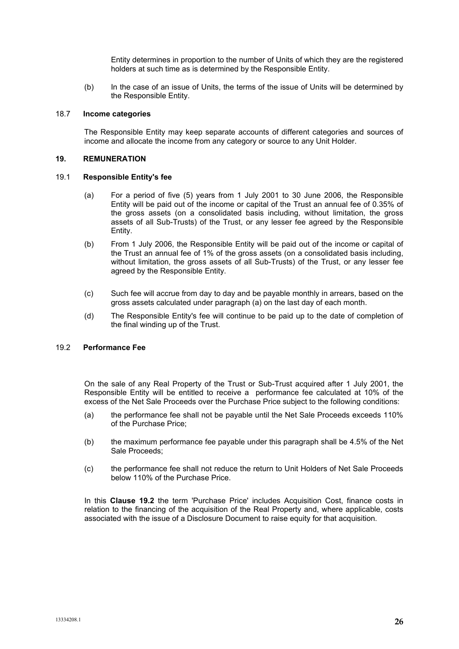Entity determines in proportion to the number of Units of which they are the registered holders at such time as is determined by the Responsible Entity.

(b) In the case of an issue of Units, the terms of the issue of Units will be determined by the Responsible Entity.

## 18.7 **Income categories**

The Responsible Entity may keep separate accounts of different categories and sources of income and allocate the income from any category or source to any Unit Holder.

## **19. REMUNERATION**

## <span id="page-25-0"></span>19.1 **Responsible Entity's fee**

- (a) For a period of five (5) years from 1 July 2001 to 30 June 2006, the Responsible Entity will be paid out of the income or capital of the Trust an annual fee of 0.35% of the gross assets (on a consolidated basis including, without limitation, the gross assets of all Sub-Trusts) of the Trust, or any lesser fee agreed by the Responsible Entity.
- (b) From 1 July 2006, the Responsible Entity will be paid out of the income or capital of the Trust an annual fee of 1% of the gross assets (on a consolidated basis including, without limitation, the gross assets of all Sub-Trusts) of the Trust, or any lesser fee agreed by the Responsible Entity.
- (c) Such fee will accrue from day to day and be payable monthly in arrears, based on the gross assets calculated under paragraph (a) on the last day of each month.
- (d) The Responsible Entity's fee will continue to be paid up to the date of completion of the final winding up of the Trust.

#### <span id="page-25-1"></span>19.2 **Performance Fee**

On the sale of any Real Property of the Trust or Sub-Trust acquired after 1 July 2001, the Responsible Entity will be entitled to receive a performance fee calculated at 10% of the excess of the Net Sale Proceeds over the Purchase Price subject to the following conditions:

- (a) the performance fee shall not be payable until the Net Sale Proceeds exceeds 110% of the Purchase Price;
- (b) the maximum performance fee payable under this paragraph shall be 4.5% of the Net Sale Proceeds;
- (c) the performance fee shall not reduce the return to Unit Holders of Net Sale Proceeds below 110% of the Purchase Price.

In this **Clause [19.2](#page-25-1)** the term 'Purchase Price' includes Acquisition Cost, finance costs in relation to the financing of the acquisition of the Real Property and, where applicable, costs associated with the issue of a Disclosure Document to raise equity for that acquisition.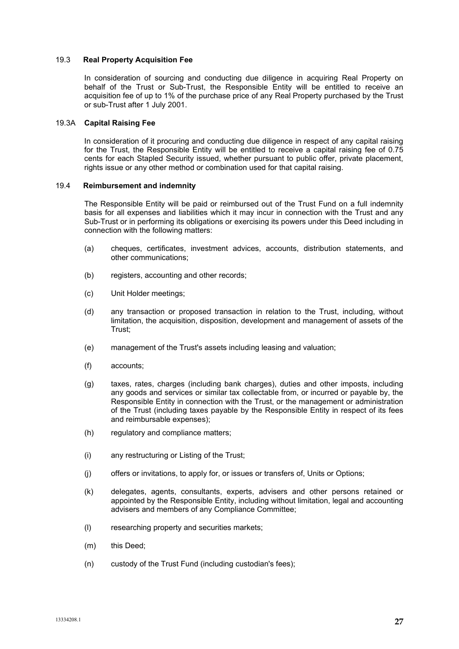## <span id="page-26-0"></span>19.3 **Real Property Acquisition Fee**

In consideration of sourcing and conducting due diligence in acquiring Real Property on behalf of the Trust or Sub-Trust, the Responsible Entity will be entitled to receive an acquisition fee of up to 1% of the purchase price of any Real Property purchased by the Trust or sub-Trust after 1 July 2001.

# 19.3A **Capital Raising Fee**

In consideration of it procuring and conducting due diligence in respect of any capital raising for the Trust, the Responsible Entity will be entitled to receive a capital raising fee of 0.75 cents for each Stapled Security issued, whether pursuant to public offer, private placement, rights issue or any other method or combination used for that capital raising.

# <span id="page-26-1"></span>19.4 **Reimbursement and indemnity**

The Responsible Entity will be paid or reimbursed out of the Trust Fund on a full indemnity basis for all expenses and liabilities which it may incur in connection with the Trust and any Sub-Trust or in performing its obligations or exercising its powers under this Deed including in connection with the following matters:

- (a) cheques, certificates, investment advices, accounts, distribution statements, and other communications;
- (b) registers, accounting and other records;
- (c) Unit Holder meetings;
- (d) any transaction or proposed transaction in relation to the Trust, including, without limitation, the acquisition, disposition, development and management of assets of the Trust;
- (e) management of the Trust's assets including leasing and valuation;
- (f) accounts;
- (g) taxes, rates, charges (including bank charges), duties and other imposts, including any goods and services or similar tax collectable from, or incurred or payable by, the Responsible Entity in connection with the Trust, or the management or administration of the Trust (including taxes payable by the Responsible Entity in respect of its fees and reimbursable expenses);
- (h) regulatory and compliance matters;
- (i) any restructuring or Listing of the Trust;
- (j) offers or invitations, to apply for, or issues or transfers of, Units or Options;
- (k) delegates, agents, consultants, experts, advisers and other persons retained or appointed by the Responsible Entity, including without limitation, legal and accounting advisers and members of any Compliance Committee;
- (l) researching property and securities markets;
- (m) this Deed;
- (n) custody of the Trust Fund (including custodian's fees);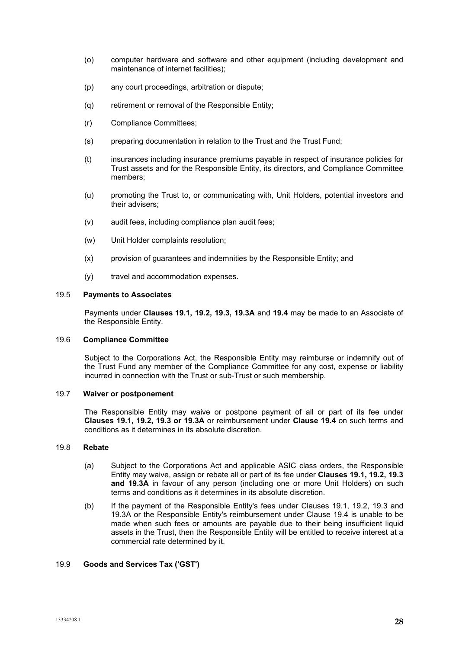- (o) computer hardware and software and other equipment (including development and maintenance of internet facilities);
- (p) any court proceedings, arbitration or dispute;
- (q) retirement or removal of the Responsible Entity;
- (r) Compliance Committees;
- (s) preparing documentation in relation to the Trust and the Trust Fund;
- (t) insurances including insurance premiums payable in respect of insurance policies for Trust assets and for the Responsible Entity, its directors, and Compliance Committee members;
- (u) promoting the Trust to, or communicating with, Unit Holders, potential investors and their advisers;
- (v) audit fees, including compliance plan audit fees;
- (w) Unit Holder complaints resolution;
- (x) provision of guarantees and indemnities by the Responsible Entity; and
- (y) travel and accommodation expenses.

# 19.5 **Payments to Associates**

Payments under **Clauses [19.1,](#page-25-0) [19.2,](#page-25-1) [19.3, 19.3A](#page-26-0)** and **[19.4](#page-26-1)** may be made to an Associate of the Responsible Entity.

#### 19.6 **Compliance Committee**

Subject to the Corporations Act, the Responsible Entity may reimburse or indemnify out of the Trust Fund any member of the Compliance Committee for any cost, expense or liability incurred in connection with the Trust or sub-Trust or such membership.

## 19.7 **Waiver or postponement**

The Responsible Entity may waive or postpone payment of all or part of its fee under **Clauses [19.1,](#page-25-0) [19.2,](#page-25-1) [19.3](#page-26-0) or [19.3A](#page-26-0)** or reimbursement under **Clause [19.4](#page-26-1)** on such terms and conditions as it determines in its absolute discretion.

# 19.8 **Rebate**

- (a) Subject to the Corporations Act and applicable ASIC class orders, the Responsible Entity may waive, assign or rebate all or part of its fee under **Clauses [19.1,](#page-25-0) [19.2,](#page-25-1) [19.3](#page-26-0) and [19.3A](#page-26-0)** in favour of any person (including one or more Unit Holders) on such terms and conditions as it determines in its absolute discretion.
- (b) If the payment of the Responsible Entity's fees under Clauses [19.1,](#page-25-0) [19.2,](#page-25-1) [19.3](#page-26-0) and [19.3A](#page-26-0) or the Responsible Entity's reimbursement under Clause [19.4](#page-26-1) is unable to be made when such fees or amounts are payable due to their being insufficient liquid assets in the Trust, then the Responsible Entity will be entitled to receive interest at a commercial rate determined by it.

# <span id="page-27-0"></span>19.9 **Goods and Services Tax ('GST')**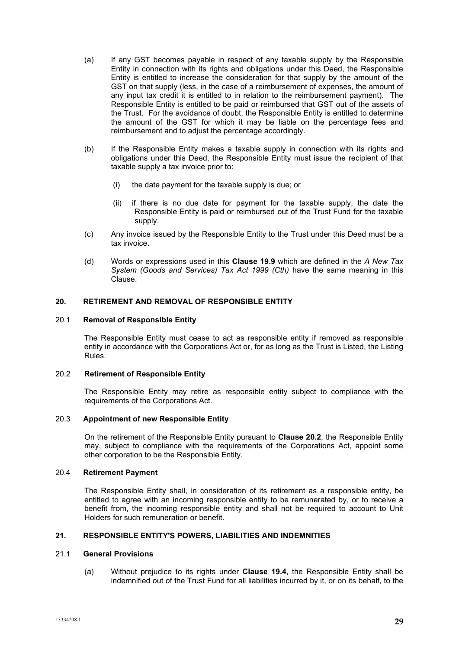- (a) If any GST becomes payable in respect of any taxable supply by the Responsible Entity in connection with its rights and obligations under this Deed, the Responsible Entity is entitled to increase the consideration for that supply by the amount of the GST on that supply (less, in the case of a reimbursement of expenses, the amount of any input tax credit it is entitled to in relation to the reimbursement payment). The Responsible Entity is entitled to be paid or reimbursed that GST out of the assets of the Trust. For the avoidance of doubt, the Responsible Entity is entitled to determine the amount of the GST for which it may be liable on the percentage fees and reimbursement and to adjust the percentage accordingly.
- (b) If the Responsible Entity makes a taxable supply in connection with its rights and obligations under this Deed, the Responsible Entity must issue the recipient of that taxable supply a tax invoice prior to:
	- (i) the date payment for the taxable supply is due; or
	- (ii) if there is no due date for payment for the taxable supply, the date the Responsible Entity is paid or reimbursed out of the Trust Fund for the taxable supply.
- (c) Any invoice issued by the Responsible Entity to the Trust under this Deed must be a tax invoice.
- (d) Words or expressions used in this **Clause [19.9](#page-27-0)** which are defined in the *A New Tax System (Goods and Services) Tax Act 1999 (Cth)* have the same meaning in this Clause.

# **20. RETIREMENT AND REMOVAL OF RESPONSIBLE ENTITY**

#### 20.1 **Removal of Responsible Entity**

The Responsible Entity must cease to act as responsible entity if removed as responsible entity in accordance with the Corporations Act or, for as long as the Trust is Listed, the Listing Rules.

#### <span id="page-28-0"></span>20.2 **Retirement of Responsible Entity**

The Responsible Entity may retire as responsible entity subject to compliance with the requirements of the Corporations Act.

# 20.3 **Appointment of new Responsible Entity**

On the retirement of the Responsible Entity pursuant to **Clause [20.2](#page-28-0)**, the Responsible Entity may, subject to compliance with the requirements of the Corporations Act, appoint some other corporation to be the Responsible Entity.

# 20.4 **Retirement Payment**

The Responsible Entity shall, in consideration of its retirement as a responsible entity, be entitled to agree with an incoming responsible entity to be remunerated by, or to receive a benefit from, the incoming responsible entity and shall not be required to account to Unit Holders for such remuneration or benefit.

# **21. RESPONSIBLE ENTITY'S POWERS, LIABILITIES AND INDEMNITIES**

# 21.1 **General Provisions**

(a) Without prejudice to its rights under **Clause [19.4](#page-26-1)**, the Responsible Entity shall be indemnified out of the Trust Fund for all liabilities incurred by it, or on its behalf, to the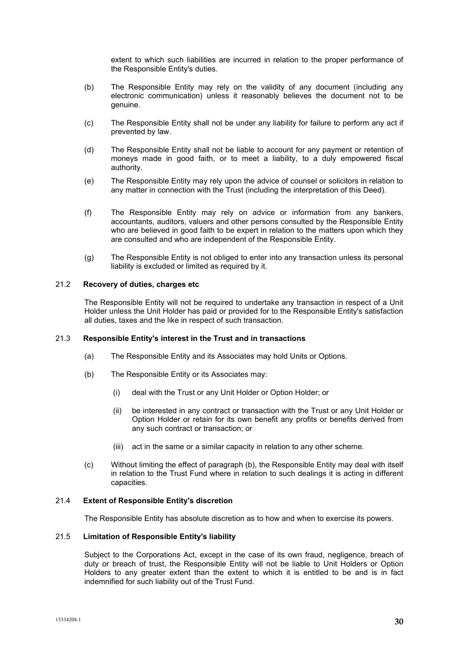extent to which such liabilities are incurred in relation to the proper performance of the Responsible Entity's duties.

- (b) The Responsible Entity may rely on the validity of any document (including any electronic communication) unless it reasonably believes the document not to be genuine.
- (c) The Responsible Entity shall not be under any liability for failure to perform any act if prevented by law.
- (d) The Responsible Entity shall not be liable to account for any payment or retention of moneys made in good faith, or to meet a liability, to a duly empowered fiscal authority.
- (e) The Responsible Entity may rely upon the advice of counsel or solicitors in relation to any matter in connection with the Trust (including the interpretation of this Deed).
- (f) The Responsible Entity may rely on advice or information from any bankers, accountants, auditors, valuers and other persons consulted by the Responsible Entity who are believed in good faith to be expert in relation to the matters upon which they are consulted and who are independent of the Responsible Entity.
- (g) The Responsible Entity is not obliged to enter into any transaction unless its personal liability is excluded or limited as required by it.

# 21.2 **Recovery of duties, charges etc**

The Responsible Entity will not be required to undertake any transaction in respect of a Unit Holder unless the Unit Holder has paid or provided for to the Responsible Entity's satisfaction all duties, taxes and the like in respect of such transaction.

#### 21.3 **Responsible Entity's interest in the Trust and in transactions**

- (a) The Responsible Entity and its Associates may hold Units or Options.
- (b) The Responsible Entity or its Associates may:
	- (i) deal with the Trust or any Unit Holder or Option Holder; or
	- (ii) be interested in any contract or transaction with the Trust or any Unit Holder or Option Holder or retain for its own benefit any profits or benefits derived from any such contract or transaction; or
	- (iii) act in the same or a similar capacity in relation to any other scheme.
- (c) Without limiting the effect of paragraph (b), the Responsible Entity may deal with itself in relation to the Trust Fund where in relation to such dealings it is acting in different capacities.

#### 21.4 **Extent of Responsible Entity's discretion**

The Responsible Entity has absolute discretion as to how and when to exercise its powers.

# 21.5 **Limitation of Responsible Entity's liability**

Subject to the Corporations Act, except in the case of its own fraud, negligence, breach of duty or breach of trust, the Responsible Entity will not be liable to Unit Holders or Option Holders to any greater extent than the extent to which it is entitled to be and is in fact indemnified for such liability out of the Trust Fund.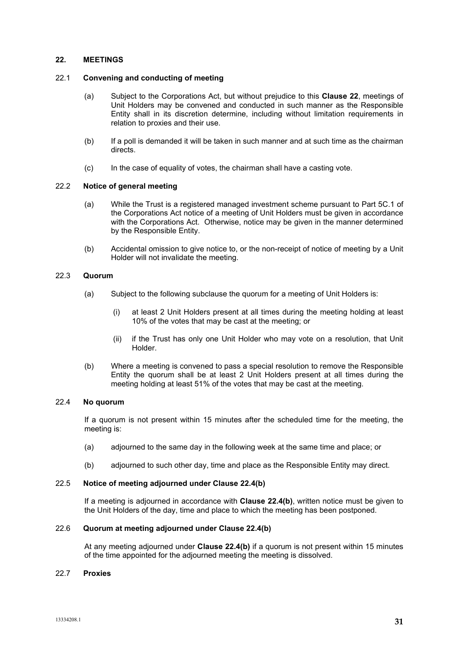## <span id="page-30-0"></span>**22. MEETINGS**

#### 22.1 **Convening and conducting of meeting**

- (a) Subject to the Corporations Act, but without prejudice to this **Clause [22](#page-30-0)**, meetings of Unit Holders may be convened and conducted in such manner as the Responsible Entity shall in its discretion determine, including without limitation requirements in relation to proxies and their use.
- (b) If a poll is demanded it will be taken in such manner and at such time as the chairman directs.
- (c) In the case of equality of votes, the chairman shall have a casting vote.

# 22.2 **Notice of general meeting**

- (a) While the Trust is a registered managed investment scheme pursuant to Part 5C.1 of the Corporations Act notice of a meeting of Unit Holders must be given in accordance with the Corporations Act. Otherwise, notice may be given in the manner determined by the Responsible Entity.
- (b) Accidental omission to give notice to, or the non-receipt of notice of meeting by a Unit Holder will not invalidate the meeting.

# 22.3 **Quorum**

- (a) Subject to the following subclause the quorum for a meeting of Unit Holders is:
	- (i) at least 2 Unit Holders present at all times during the meeting holding at least 10% of the votes that may be cast at the meeting; or
	- (ii) if the Trust has only one Unit Holder who may vote on a resolution, that Unit Holder.
- (b) Where a meeting is convened to pass a special resolution to remove the Responsible Entity the quorum shall be at least 2 Unit Holders present at all times during the meeting holding at least 51% of the votes that may be cast at the meeting.

# 22.4 **No quorum**

If a quorum is not present within 15 minutes after the scheduled time for the meeting, the meeting is:

- (a) adjourned to the same day in the following week at the same time and place; or
- (b) adjourned to such other day, time and place as the Responsible Entity may direct.

# <span id="page-30-1"></span>22.5 **Notice of meeting adjourned under Clause [22.4\(b\)](#page-30-1)**

If a meeting is adjourned in accordance with **Clause [22.4\(b\)](#page-30-1)**, written notice must be given to the Unit Holders of the day, time and place to which the meeting has been postponed.

# 22.6 **Quorum at meeting adjourned under Clause [22.4\(b\)](#page-30-1)**

At any meeting adjourned under **Clause [22.4\(b\)](#page-30-1)** if a quorum is not present within 15 minutes of the time appointed for the adjourned meeting the meeting is dissolved.

#### 22.7 **Proxies**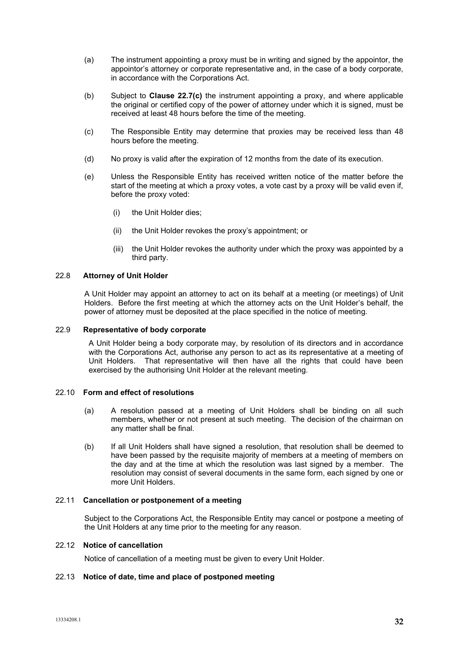- (a) The instrument appointing a proxy must be in writing and signed by the appointor, the appointor's attorney or corporate representative and, in the case of a body corporate, in accordance with the Corporations Act.
- (b) Subject to **Clause [22.7\(c\)](#page-31-0)** the instrument appointing a proxy, and where applicable the original or certified copy of the power of attorney under which it is signed, must be received at least 48 hours before the time of the meeting.
- <span id="page-31-0"></span>(c) The Responsible Entity may determine that proxies may be received less than 48 hours before the meeting.
- (d) No proxy is valid after the expiration of 12 months from the date of its execution.
- (e) Unless the Responsible Entity has received written notice of the matter before the start of the meeting at which a proxy votes, a vote cast by a proxy will be valid even if, before the proxy voted:
	- (i) the Unit Holder dies;
	- (ii) the Unit Holder revokes the proxy's appointment; or
	- (iii) the Unit Holder revokes the authority under which the proxy was appointed by a third party.

## 22.8 **Attorney of Unit Holder**

A Unit Holder may appoint an attorney to act on its behalf at a meeting (or meetings) of Unit Holders. Before the first meeting at which the attorney acts on the Unit Holder's behalf, the power of attorney must be deposited at the place specified in the notice of meeting.

#### 22.9 **Representative of body corporate**

A Unit Holder being a body corporate may, by resolution of its directors and in accordance with the Corporations Act, authorise any person to act as its representative at a meeting of Unit Holders. That representative will then have all the rights that could have been exercised by the authorising Unit Holder at the relevant meeting.

# 22.10 **Form and effect of resolutions**

- (a) A resolution passed at a meeting of Unit Holders shall be binding on all such members, whether or not present at such meeting. The decision of the chairman on any matter shall be final.
- (b) If all Unit Holders shall have signed a resolution, that resolution shall be deemed to have been passed by the requisite majority of members at a meeting of members on the day and at the time at which the resolution was last signed by a member. The resolution may consist of several documents in the same form, each signed by one or more Unit Holders.

#### 22.11 **Cancellation or postponement of a meeting**

Subject to the Corporations Act, the Responsible Entity may cancel or postpone a meeting of the Unit Holders at any time prior to the meeting for any reason.

# 22.12 **Notice of cancellation**

Notice of cancellation of a meeting must be given to every Unit Holder.

#### 22.13 **Notice of date, time and place of postponed meeting**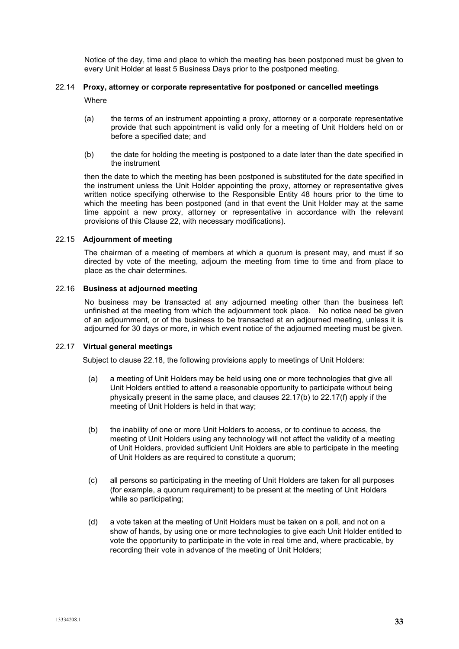Notice of the day, time and place to which the meeting has been postponed must be given to every Unit Holder at least 5 Business Days prior to the postponed meeting.

# 22.14 **Proxy, attorney or corporate representative for postponed or cancelled meetings**

**Where** 

- (a) the terms of an instrument appointing a proxy, attorney or a corporate representative provide that such appointment is valid only for a meeting of Unit Holders held on or before a specified date; and
- (b) the date for holding the meeting is postponed to a date later than the date specified in the instrument

then the date to which the meeting has been postponed is substituted for the date specified in the instrument unless the Unit Holder appointing the proxy, attorney or representative gives written notice specifying otherwise to the Responsible Entity 48 hours prior to the time to which the meeting has been postponed (and in that event the Unit Holder may at the same time appoint a new proxy, attorney or representative in accordance with the relevant provisions of this Clause 22, with necessary modifications).

# 22.15 **Adjournment of meeting**

The chairman of a meeting of members at which a quorum is present may, and must if so directed by vote of the meeting, adjourn the meeting from time to time and from place to place as the chair determines.

# 22.16 **Business at adjourned meeting**

No business may be transacted at any adjourned meeting other than the business left unfinished at the meeting from which the adjournment took place. No notice need be given of an adjournment, or of the business to be transacted at an adjourned meeting, unless it is adjourned for 30 days or more, in which event notice of the adjourned meeting must be given.

# 22.17 **Virtual general meetings**

Subject to clause 22.18, the following provisions apply to meetings of Unit Holders:

- (a) a meeting of Unit Holders may be held using one or more technologies that give all Unit Holders entitled to attend a reasonable opportunity to participate without being physically present in the same place, and clauses 22.17(b) to 22.17(f) apply if the meeting of Unit Holders is held in that way;
- (b) the inability of one or more Unit Holders to access, or to continue to access, the meeting of Unit Holders using any technology will not affect the validity of a meeting of Unit Holders, provided sufficient Unit Holders are able to participate in the meeting of Unit Holders as are required to constitute a quorum;
- (c) all persons so participating in the meeting of Unit Holders are taken for all purposes (for example, a quorum requirement) to be present at the meeting of Unit Holders while so participating;
- (d) a vote taken at the meeting of Unit Holders must be taken on a poll, and not on a show of hands, by using one or more technologies to give each Unit Holder entitled to vote the opportunity to participate in the vote in real time and, where practicable, by recording their vote in advance of the meeting of Unit Holders;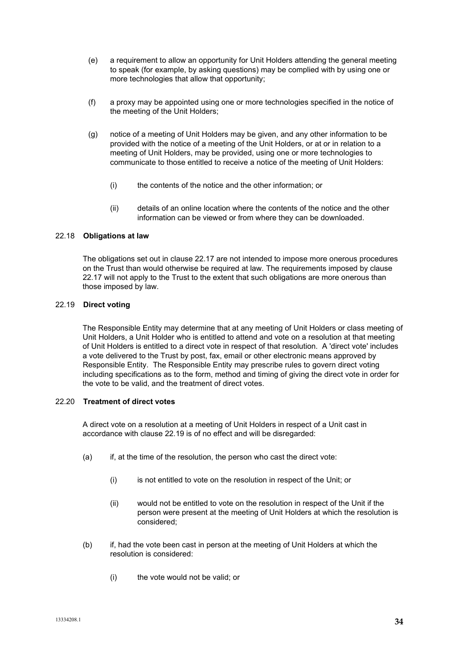- (e) a requirement to allow an opportunity for Unit Holders attending the general meeting to speak (for example, by asking questions) may be complied with by using one or more technologies that allow that opportunity;
- (f) a proxy may be appointed using one or more technologies specified in the notice of the meeting of the Unit Holders;
- (g) notice of a meeting of Unit Holders may be given, and any other information to be provided with the notice of a meeting of the Unit Holders, or at or in relation to a meeting of Unit Holders, may be provided, using one or more technologies to communicate to those entitled to receive a notice of the meeting of Unit Holders:
	- (i) the contents of the notice and the other information; or
	- (ii) details of an online location where the contents of the notice and the other information can be viewed or from where they can be downloaded.

# 22.18 **Obligations at law**

The obligations set out in clause 22.17 are not intended to impose more onerous procedures on the Trust than would otherwise be required at law. The requirements imposed by clause 22.17 will not apply to the Trust to the extent that such obligations are more onerous than those imposed by law.

#### 22.19 **Direct voting**

The Responsible Entity may determine that at any meeting of Unit Holders or class meeting of Unit Holders, a Unit Holder who is entitled to attend and vote on a resolution at that meeting of Unit Holders is entitled to a direct vote in respect of that resolution. A 'direct vote' includes a vote delivered to the Trust by post, fax, email or other electronic means approved by Responsible Entity. The Responsible Entity may prescribe rules to govern direct voting including specifications as to the form, method and timing of giving the direct vote in order for the vote to be valid, and the treatment of direct votes.

# 22.20 **Treatment of direct votes**

A direct vote on a resolution at a meeting of Unit Holders in respect of a Unit cast in accordance with clause 22.19 is of no effect and will be disregarded:

- (a) if, at the time of the resolution, the person who cast the direct vote:
	- (i) is not entitled to vote on the resolution in respect of the Unit; or
	- (ii) would not be entitled to vote on the resolution in respect of the Unit if the person were present at the meeting of Unit Holders at which the resolution is considered;
- (b) if, had the vote been cast in person at the meeting of Unit Holders at which the resolution is considered:
	- (i) the vote would not be valid; or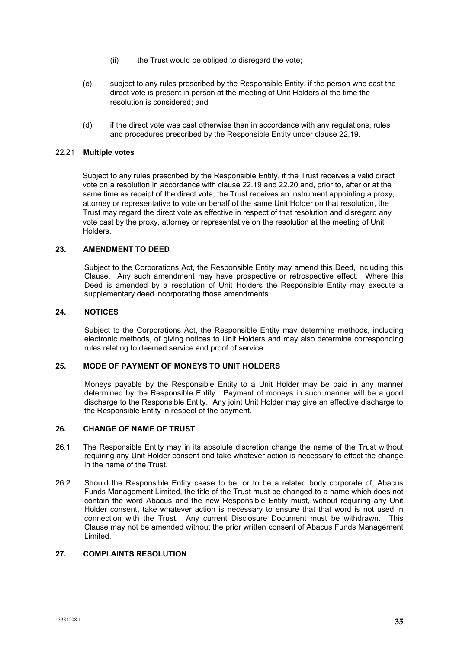- (ii) the Trust would be obliged to disregard the vote;
- (c) subject to any rules prescribed by the Responsible Entity, if the person who cast the direct vote is present in person at the meeting of Unit Holders at the time the resolution is considered; and
- (d) if the direct vote was cast otherwise than in accordance with any regulations, rules and procedures prescribed by the Responsible Entity under clause 22.19.

## 22.21 **Multiple votes**

Subject to any rules prescribed by the Responsible Entity, if the Trust receives a valid direct vote on a resolution in accordance with clause 22.19 and 22.20 and, prior to, after or at the same time as receipt of the direct vote, the Trust receives an instrument appointing a proxy, attorney or representative to vote on behalf of the same Unit Holder on that resolution, the Trust may regard the direct vote as effective in respect of that resolution and disregard any vote cast by the proxy, attorney or representative on the resolution at the meeting of Unit Holders.

# **23. AMENDMENT TO DEED**

Subject to the Corporations Act, the Responsible Entity may amend this Deed, including this Clause. Any such amendment may have prospective or retrospective effect. Where this Deed is amended by a resolution of Unit Holders the Responsible Entity may execute a supplementary deed incorporating those amendments.

## **24. NOTICES**

Subject to the Corporations Act, the Responsible Entity may determine methods, including electronic methods, of giving notices to Unit Holders and may also determine corresponding rules relating to deemed service and proof of service.

#### **25. MODE OF PAYMENT OF MONEYS TO UNIT HOLDERS**

Moneys payable by the Responsible Entity to a Unit Holder may be paid in any manner determined by the Responsible Entity. Payment of moneys in such manner will be a good discharge to the Responsible Entity. Any joint Unit Holder may give an effective discharge to the Responsible Entity in respect of the payment.

# **26. CHANGE OF NAME OF TRUST**

- 26.1 The Responsible Entity may in its absolute discretion change the name of the Trust without requiring any Unit Holder consent and take whatever action is necessary to effect the change in the name of the Trust.
- 26.2 Should the Responsible Entity cease to be, or to be a related body corporate of, Abacus Funds Management Limited, the title of the Trust must be changed to a name which does not contain the word Abacus and the new Responsible Entity must, without requiring any Unit Holder consent, take whatever action is necessary to ensure that that word is not used in connection with the Trust. Any current Disclosure Document must be withdrawn. This Clause may not be amended without the prior written consent of Abacus Funds Management Limited.

# **27. COMPLAINTS RESOLUTION**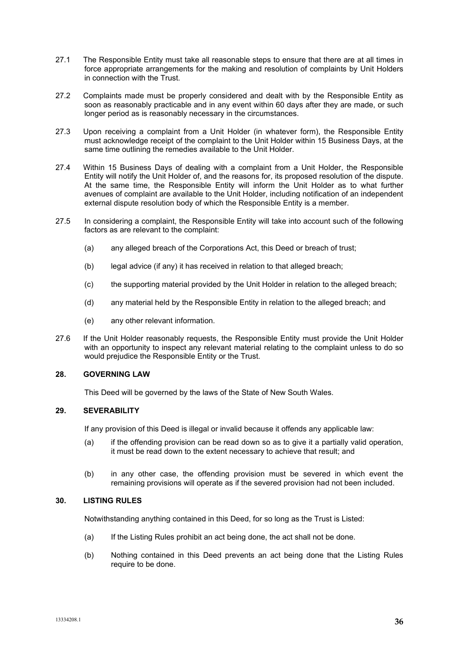- 27.1 The Responsible Entity must take all reasonable steps to ensure that there are at all times in force appropriate arrangements for the making and resolution of complaints by Unit Holders in connection with the Trust.
- 27.2 Complaints made must be properly considered and dealt with by the Responsible Entity as soon as reasonably practicable and in any event within 60 days after they are made, or such longer period as is reasonably necessary in the circumstances.
- 27.3 Upon receiving a complaint from a Unit Holder (in whatever form), the Responsible Entity must acknowledge receipt of the complaint to the Unit Holder within 15 Business Days, at the same time outlining the remedies available to the Unit Holder.
- 27.4 Within 15 Business Days of dealing with a complaint from a Unit Holder, the Responsible Entity will notify the Unit Holder of, and the reasons for, its proposed resolution of the dispute. At the same time, the Responsible Entity will inform the Unit Holder as to what further avenues of complaint are available to the Unit Holder, including notification of an independent external dispute resolution body of which the Responsible Entity is a member.
- 27.5 In considering a complaint, the Responsible Entity will take into account such of the following factors as are relevant to the complaint:
	- (a) any alleged breach of the Corporations Act, this Deed or breach of trust;
	- (b) legal advice (if any) it has received in relation to that alleged breach;
	- (c) the supporting material provided by the Unit Holder in relation to the alleged breach;
	- (d) any material held by the Responsible Entity in relation to the alleged breach; and
	- (e) any other relevant information.
- 27.6 If the Unit Holder reasonably requests, the Responsible Entity must provide the Unit Holder with an opportunity to inspect any relevant material relating to the complaint unless to do so would prejudice the Responsible Entity or the Trust.

## **28. GOVERNING LAW**

This Deed will be governed by the laws of the State of New South Wales.

## **29. SEVERABILITY**

If any provision of this Deed is illegal or invalid because it offends any applicable law:

- (a) if the offending provision can be read down so as to give it a partially valid operation, it must be read down to the extent necessary to achieve that result; and
- (b) in any other case, the offending provision must be severed in which event the remaining provisions will operate as if the severed provision had not been included.

#### **30. LISTING RULES**

Notwithstanding anything contained in this Deed, for so long as the Trust is Listed:

- (a) If the Listing Rules prohibit an act being done, the act shall not be done.
- (b) Nothing contained in this Deed prevents an act being done that the Listing Rules require to be done.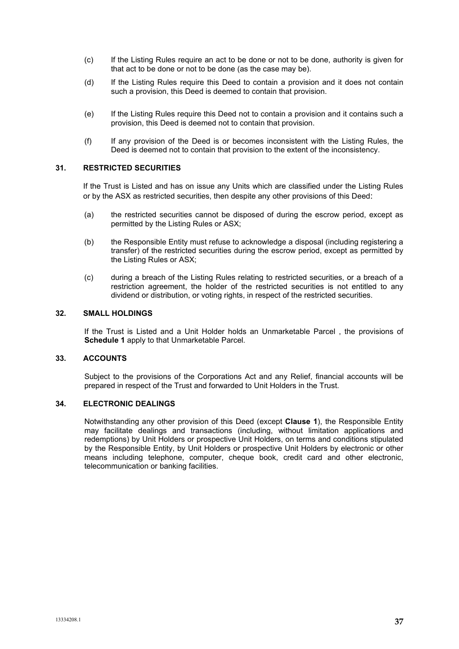- (c) If the Listing Rules require an act to be done or not to be done, authority is given for that act to be done or not to be done (as the case may be).
- (d) If the Listing Rules require this Deed to contain a provision and it does not contain such a provision, this Deed is deemed to contain that provision.
- (e) If the Listing Rules require this Deed not to contain a provision and it contains such a provision, this Deed is deemed not to contain that provision.
- (f) If any provision of the Deed is or becomes inconsistent with the Listing Rules, the Deed is deemed not to contain that provision to the extent of the inconsistency.

# **31. RESTRICTED SECURITIES**

If the Trust is Listed and has on issue any Units which are classified under the Listing Rules or by the ASX as restricted securities, then despite any other provisions of this Deed:

- (a) the restricted securities cannot be disposed of during the escrow period, except as permitted by the Listing Rules or ASX;
- (b) the Responsible Entity must refuse to acknowledge a disposal (including registering a transfer) of the restricted securities during the escrow period, except as permitted by the Listing Rules or ASX;
- (c) during a breach of the Listing Rules relating to restricted securities, or a breach of a restriction agreement, the holder of the restricted securities is not entitled to any dividend or distribution, or voting rights, in respect of the restricted securities.

## **32. SMALL HOLDINGS**

If the Trust is Listed and a Unit Holder holds an Unmarketable Parcel , the provisions of **Schedule 1** apply to that Unmarketable Parcel.

# **33. ACCOUNTS**

Subject to the provisions of the Corporations Act and any Relief, financial accounts will be prepared in respect of the Trust and forwarded to Unit Holders in the Trust.

# **34. ELECTRONIC DEALINGS**

Notwithstanding any other provision of this Deed (except **Clause [1](#page-0-0)**), the Responsible Entity may facilitate dealings and transactions (including, without limitation applications and redemptions) by Unit Holders or prospective Unit Holders, on terms and conditions stipulated by the Responsible Entity, by Unit Holders or prospective Unit Holders by electronic or other means including telephone, computer, cheque book, credit card and other electronic, telecommunication or banking facilities.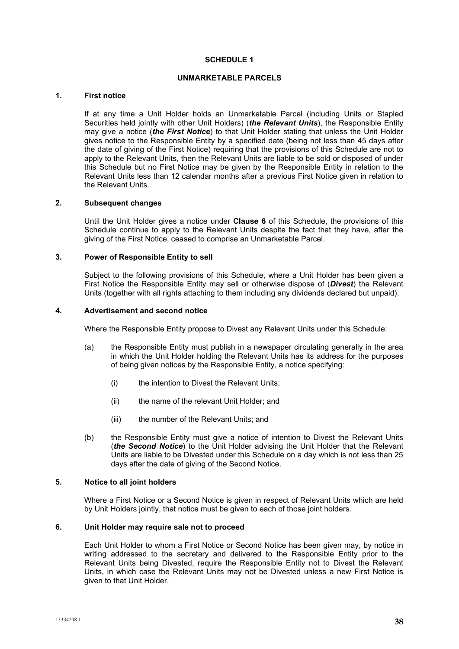# **SCHEDULE 1**

## **UNMARKETABLE PARCELS**

## **1. First notice**

If at any time a Unit Holder holds an Unmarketable Parcel (including Units or Stapled Securities held jointly with other Unit Holders) (*the Relevant Units*), the Responsible Entity may give a notice (*the First Notice*) to that Unit Holder stating that unless the Unit Holder gives notice to the Responsible Entity by a specified date (being not less than 45 days after the date of giving of the First Notice) requiring that the provisions of this Schedule are not to apply to the Relevant Units, then the Relevant Units are liable to be sold or disposed of under this Schedule but no First Notice may be given by the Responsible Entity in relation to the Relevant Units less than 12 calendar months after a previous First Notice given in relation to the Relevant Units.

#### **2. Subsequent changes**

Until the Unit Holder gives a notice under **Clause 6** of this Schedule, the provisions of this Schedule continue to apply to the Relevant Units despite the fact that they have, after the giving of the First Notice, ceased to comprise an Unmarketable Parcel.

# **3. Power of Responsible Entity to sell**

Subject to the following provisions of this Schedule, where a Unit Holder has been given a First Notice the Responsible Entity may sell or otherwise dispose of (*Divest*) the Relevant Units (together with all rights attaching to them including any dividends declared but unpaid).

#### **4. Advertisement and second notice**

Where the Responsible Entity propose to Divest any Relevant Units under this Schedule:

- (a) the Responsible Entity must publish in a newspaper circulating generally in the area in which the Unit Holder holding the Relevant Units has its address for the purposes of being given notices by the Responsible Entity, a notice specifying:
	- (i) the intention to Divest the Relevant Units;
	- (ii) the name of the relevant Unit Holder; and
	- (iii) the number of the Relevant Units; and
- (b) the Responsible Entity must give a notice of intention to Divest the Relevant Units (*the Second Notice*) to the Unit Holder advising the Unit Holder that the Relevant Units are liable to be Divested under this Schedule on a day which is not less than 25 days after the date of giving of the Second Notice.

#### **5. Notice to all joint holders**

Where a First Notice or a Second Notice is given in respect of Relevant Units which are held by Unit Holders jointly, that notice must be given to each of those joint holders.

# **6. Unit Holder may require sale not to proceed**

Each Unit Holder to whom a First Notice or Second Notice has been given may, by notice in writing addressed to the secretary and delivered to the Responsible Entity prior to the Relevant Units being Divested, require the Responsible Entity not to Divest the Relevant Units, in which case the Relevant Units may not be Divested unless a new First Notice is given to that Unit Holder.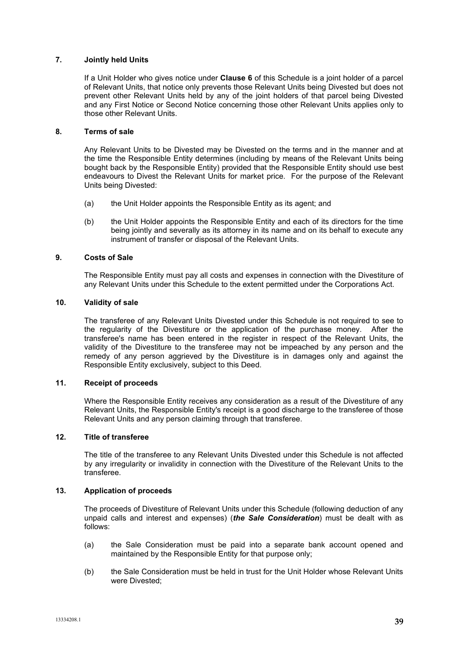# **7. Jointly held Units**

If a Unit Holder who gives notice under **Clause 6** of this Schedule is a joint holder of a parcel of Relevant Units, that notice only prevents those Relevant Units being Divested but does not prevent other Relevant Units held by any of the joint holders of that parcel being Divested and any First Notice or Second Notice concerning those other Relevant Units applies only to those other Relevant Units.

## **8. Terms of sale**

Any Relevant Units to be Divested may be Divested on the terms and in the manner and at the time the Responsible Entity determines (including by means of the Relevant Units being bought back by the Responsible Entity) provided that the Responsible Entity should use best endeavours to Divest the Relevant Units for market price. For the purpose of the Relevant Units being Divested:

- (a) the Unit Holder appoints the Responsible Entity as its agent; and
- (b) the Unit Holder appoints the Responsible Entity and each of its directors for the time being jointly and severally as its attorney in its name and on its behalf to execute any instrument of transfer or disposal of the Relevant Units.

# **9. Costs of Sale**

The Responsible Entity must pay all costs and expenses in connection with the Divestiture of any Relevant Units under this Schedule to the extent permitted under the Corporations Act.

# **10. Validity of sale**

The transferee of any Relevant Units Divested under this Schedule is not required to see to the regularity of the Divestiture or the application of the purchase money. After the transferee's name has been entered in the register in respect of the Relevant Units, the validity of the Divestiture to the transferee may not be impeached by any person and the remedy of any person aggrieved by the Divestiture is in damages only and against the Responsible Entity exclusively, subject to this Deed.

#### **11. Receipt of proceeds**

Where the Responsible Entity receives any consideration as a result of the Divestiture of any Relevant Units, the Responsible Entity's receipt is a good discharge to the transferee of those Relevant Units and any person claiming through that transferee.

# **12. Title of transferee**

The title of the transferee to any Relevant Units Divested under this Schedule is not affected by any irregularity or invalidity in connection with the Divestiture of the Relevant Units to the transferee.

#### **13. Application of proceeds**

The proceeds of Divestiture of Relevant Units under this Schedule (following deduction of any unpaid calls and interest and expenses) (*the Sale Consideration*) must be dealt with as follows:

- (a) the Sale Consideration must be paid into a separate bank account opened and maintained by the Responsible Entity for that purpose only;
- (b) the Sale Consideration must be held in trust for the Unit Holder whose Relevant Units were Divested;